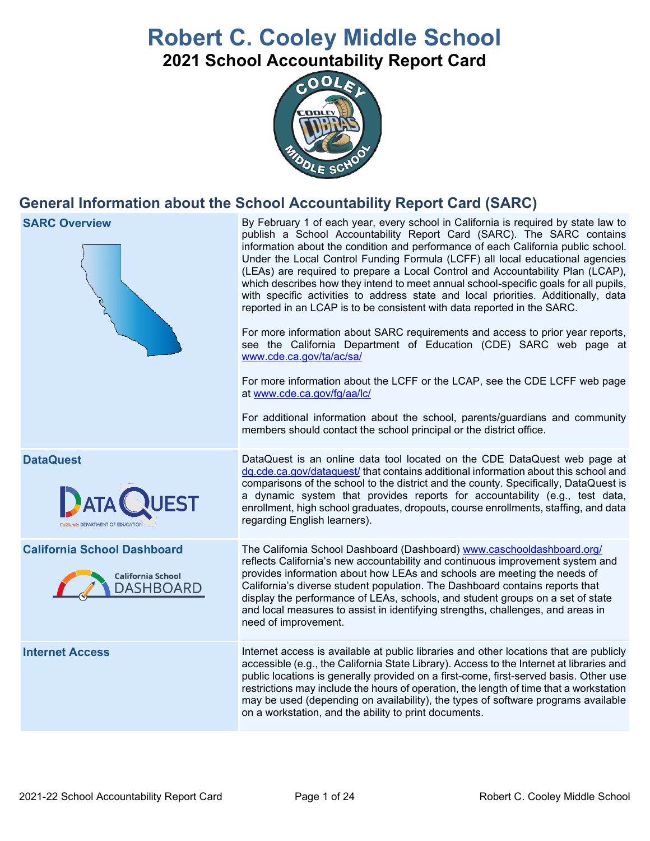# **Robert C. Cooley Middle School**

**2021 School Accountability Report Card**



# **General Information about the School Accountability Report Card (SARC)**

### **SARC Overview** By February 1 of each year, every school in California is required by state law to publish a School Accountability Report Card (SARC). The SARC contains information about the condition and performance of each California public school. Under the Local Control Funding Formula (LCFF) all local educational agencies (LEAs) are required to prepare a Local Control and Accountability Plan (LCAP), which describes how they intend to meet annual school-specific goals for all pupils, with specific activities to address state and local priorities. Additionally, data reported in an LCAP is to be consistent with data reported in the SARC. For more information about SARC requirements and access to prior year reports, see the California Department of Education (CDE) SARC web page at [www.cde.ca.gov/ta/ac/sa/](https://www.cde.ca.gov/ta/ac/sa/) For more information about the LCFF or the LCAP, see the CDE LCFF web page at [www.cde.ca.gov/fg/aa/lc/](https://www.cde.ca.gov/fg/aa/lc/) For additional information about the school, parents/guardians and community members should contact the school principal or the district office. **DataQuest** DataQuest **DataQuest** is an online data tool located on the CDE DataQuest web page at [dq.cde.ca.gov/dataquest/](https://dq.cde.ca.gov/dataquest/) that contains additional information about this school and comparisons of the school to the district and the county. Specifically, DataQuest is a dynamic system that provides reports for accountability (e.g., test data, enrollment, high school graduates, dropouts, course enrollments, staffing, and data regarding English learners). **California School Dashboard** The California School Dashboard (Dashboard) [www.caschooldashboard.org/](http://www.caschooldashboard.org/) reflects California's new accountability and continuous improvement system and provides information about how LEAs and schools are meeting the needs of California School California's diverse student population. The Dashboard contains reports that DASHBOARD display the performance of LEAs, schools, and student groups on a set of state and local measures to assist in identifying strengths, challenges, and areas in need of improvement. **Internet Access** Internet access is available at public libraries and other locations that are publicly accessible (e.g., the California State Library). Access to the Internet at libraries and public locations is generally provided on a first-come, first-served basis. Other use restrictions may include the hours of operation, the length of time that a workstation may be used (depending on availability), the types of software programs available

on a workstation, and the ability to print documents.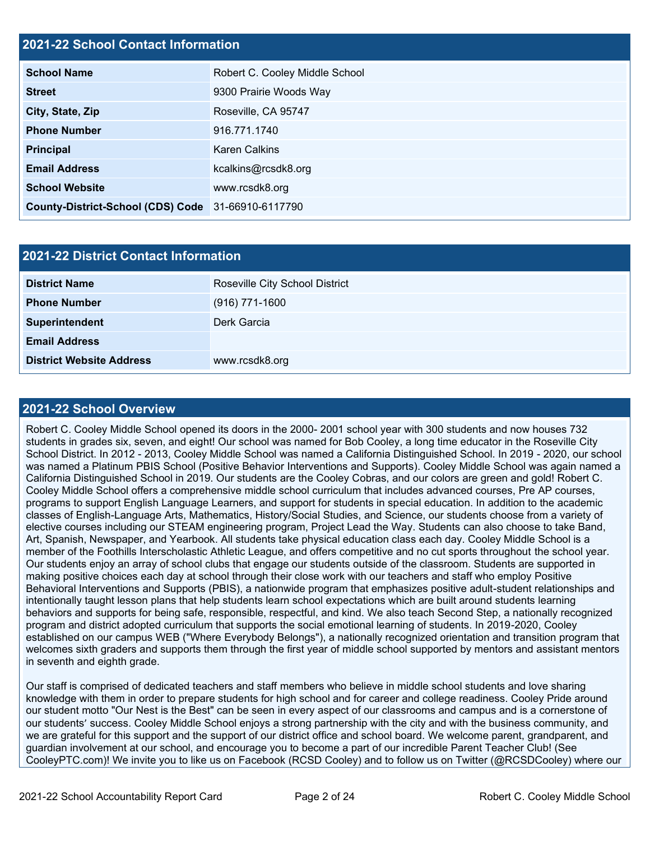# **2021-22 School Contact Information**

| <b>School Name</b>                                 | Robert C. Cooley Middle School |  |  |  |
|----------------------------------------------------|--------------------------------|--|--|--|
| <b>Street</b>                                      | 9300 Prairie Woods Way         |  |  |  |
| City, State, Zip                                   | Roseville, CA 95747            |  |  |  |
| <b>Phone Number</b>                                | 916.771.1740                   |  |  |  |
| <b>Principal</b>                                   | <b>Karen Calkins</b>           |  |  |  |
| <b>Email Address</b>                               | kcalkins@rcsdk8.org            |  |  |  |
| <b>School Website</b>                              | www.rcsdk8.org                 |  |  |  |
| County-District-School (CDS) Code 31-66910-6117790 |                                |  |  |  |

| <b>2021-22 District Contact Information</b> |                                       |  |  |  |
|---------------------------------------------|---------------------------------------|--|--|--|
| <b>District Name</b>                        | <b>Roseville City School District</b> |  |  |  |
| <b>Phone Number</b>                         | $(916)$ 771-1600                      |  |  |  |
| Superintendent                              | Derk Garcia                           |  |  |  |
| <b>Email Address</b>                        |                                       |  |  |  |
| <b>District Website Address</b>             | www.rcsdk8.org                        |  |  |  |

### **2021-22 School Overview**

Robert C. Cooley Middle School opened its doors in the 2000- 2001 school year with 300 students and now houses 732 students in grades six, seven, and eight! Our school was named for Bob Cooley, a long time educator in the Roseville City School District. In 2012 - 2013, Cooley Middle School was named a California Distinguished School. In 2019 - 2020, our school was named a Platinum PBIS School (Positive Behavior Interventions and Supports). Cooley Middle School was again named a California Distinguished School in 2019. Our students are the Cooley Cobras, and our colors are green and gold! Robert C. Cooley Middle School offers a comprehensive middle school curriculum that includes advanced courses, Pre AP courses, programs to support English Language Learners, and support for students in special education. In addition to the academic classes of English-Language Arts, Mathematics, History/Social Studies, and Science, our students choose from a variety of elective courses including our STEAM engineering program, Project Lead the Way. Students can also choose to take Band, Art, Spanish, Newspaper, and Yearbook. All students take physical education class each day. Cooley Middle School is a member of the Foothills Interscholastic Athletic League, and offers competitive and no cut sports throughout the school year. Our students enjoy an array of school clubs that engage our students outside of the classroom. Students are supported in making positive choices each day at school through their close work with our teachers and staff who employ Positive Behavioral Interventions and Supports (PBIS), a nationwide program that emphasizes positive adult-student relationships and intentionally taught lesson plans that help students learn school expectations which are built around students learning behaviors and supports for being safe, responsible, respectful, and kind. We also teach Second Step, a nationally recognized program and district adopted curriculum that supports the social emotional learning of students. In 2019-2020, Cooley established on our campus WEB ("Where Everybody Belongs"), a nationally recognized orientation and transition program that welcomes sixth graders and supports them through the first year of middle school supported by mentors and assistant mentors in seventh and eighth grade.

Our staff is comprised of dedicated teachers and staff members who believe in middle school students and love sharing knowledge with them in order to prepare students for high school and for career and college readiness. Cooley Pride around our student motto "Our Nest is the Best" can be seen in every aspect of our classrooms and campus and is a cornerstone of our students' success. Cooley Middle School enjoys a strong partnership with the city and with the business community, and we are grateful for this support and the support of our district office and school board. We welcome parent, grandparent, and guardian involvement at our school, and encourage you to become a part of our incredible Parent Teacher Club! (See CooleyPTC.com)! We invite you to like us on Facebook (RCSD Cooley) and to follow us on Twitter (@RCSDCooley) where our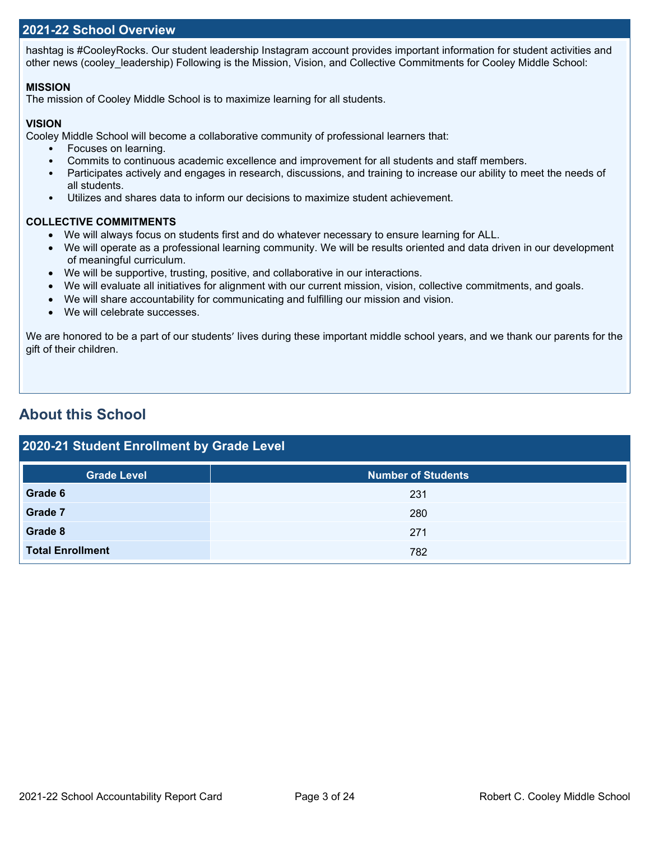### **2021-22 School Overview**

hashtag is #CooleyRocks. Our student leadership Instagram account provides important information for student activities and other news (cooley leadership) Following is the Mission, Vision, and Collective Commitments for Cooley Middle School:

### **MISSION**

The mission of Cooley Middle School is to maximize learning for all students.

### **VISION**

Cooley Middle School will become a collaborative community of professional learners that:

• Focuses on learning.

- Commits to continuous academic excellence and improvement for all students and staff members.
- Participates actively and engages in research, discussions, and training to increase our ability to meet the needs of all students.
- Utilizes and shares data to inform our decisions to maximize student achievement.

### **COLLECTIVE COMMITMENTS**

- We will always focus on students first and do whatever necessary to ensure learning for ALL.
- We will operate as a professional learning community. We will be results oriented and data driven in our development of meaningful curriculum.
- We will be supportive, trusting, positive, and collaborative in our interactions.
- We will evaluate all initiatives for alignment with our current mission, vision, collective commitments, and goals.
- We will share accountability for communicating and fulfilling our mission and vision.
- We will celebrate successes.

We are honored to be a part of our students' lives during these important middle school years, and we thank our parents for the gift of their children.

# **About this School**

| 2020-21 Student Enrollment by Grade Level |                           |  |  |  |  |  |
|-------------------------------------------|---------------------------|--|--|--|--|--|
| <b>Grade Level</b>                        | <b>Number of Students</b> |  |  |  |  |  |
| Grade 6                                   | 231                       |  |  |  |  |  |
| Grade 7                                   | 280                       |  |  |  |  |  |
| Grade 8                                   | 271                       |  |  |  |  |  |
| <b>Total Enrollment</b>                   | 782                       |  |  |  |  |  |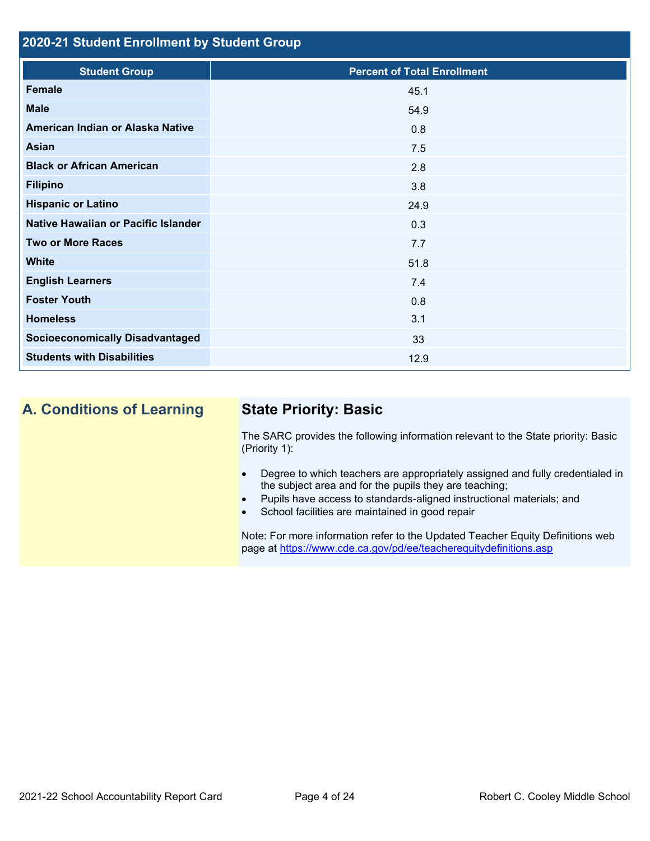# **2020-21 Student Enrollment by Student Group**

| <b>Student Group</b>                   | <b>Percent of Total Enrollment</b> |
|----------------------------------------|------------------------------------|
| Female                                 | 45.1                               |
| <b>Male</b>                            | 54.9                               |
| American Indian or Alaska Native       | 0.8                                |
| Asian                                  | 7.5                                |
| <b>Black or African American</b>       | 2.8                                |
| <b>Filipino</b>                        | 3.8                                |
| <b>Hispanic or Latino</b>              | 24.9                               |
| Native Hawaiian or Pacific Islander    | 0.3                                |
| <b>Two or More Races</b>               | 7.7                                |
| <b>White</b>                           | 51.8                               |
| <b>English Learners</b>                | 7.4                                |
| <b>Foster Youth</b>                    | 0.8                                |
| <b>Homeless</b>                        | 3.1                                |
| <b>Socioeconomically Disadvantaged</b> | 33                                 |
| <b>Students with Disabilities</b>      | 12.9                               |

# **A. Conditions of Learning State Priority: Basic**

The SARC provides the following information relevant to the State priority: Basic (Priority 1):

- Degree to which teachers are appropriately assigned and fully credentialed in the subject area and for the pupils they are teaching;
- Pupils have access to standards-aligned instructional materials; and
- School facilities are maintained in good repair

Note: For more information refer to the Updated Teacher Equity Definitions web page at<https://www.cde.ca.gov/pd/ee/teacherequitydefinitions.asp>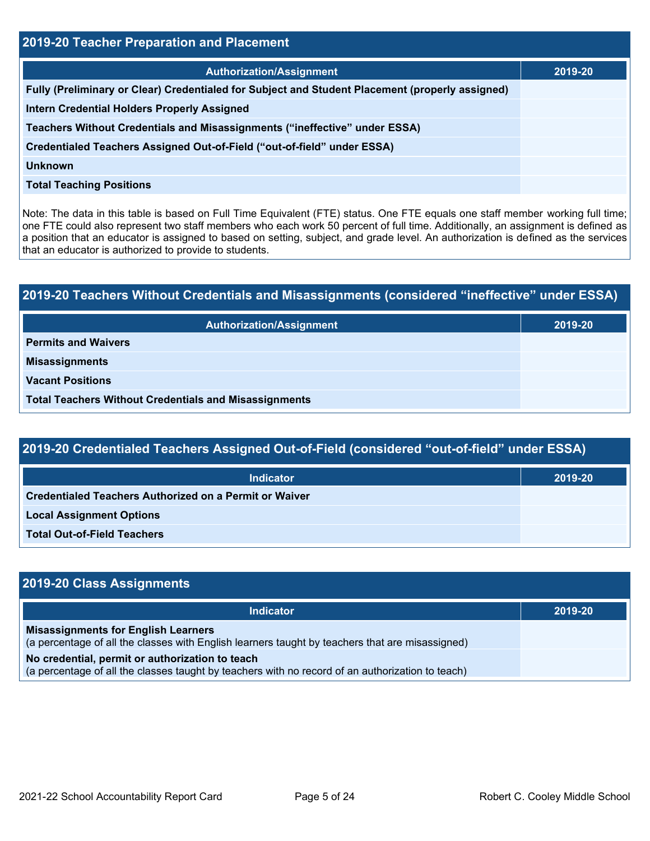| 2019-20 Teacher Preparation and Placement                                                       |         |  |  |  |
|-------------------------------------------------------------------------------------------------|---------|--|--|--|
| <b>Authorization/Assignment</b>                                                                 | 2019-20 |  |  |  |
| Fully (Preliminary or Clear) Credentialed for Subject and Student Placement (properly assigned) |         |  |  |  |
| <b>Intern Credential Holders Properly Assigned</b>                                              |         |  |  |  |
| Teachers Without Credentials and Misassignments ("ineffective" under ESSA)                      |         |  |  |  |
| Credentialed Teachers Assigned Out-of-Field ("out-of-field" under ESSA)                         |         |  |  |  |
| <b>Unknown</b>                                                                                  |         |  |  |  |
| <b>Total Teaching Positions</b>                                                                 |         |  |  |  |

Note: The data in this table is based on Full Time Equivalent (FTE) status. One FTE equals one staff member working full time; one FTE could also represent two staff members who each work 50 percent of full time. Additionally, an assignment is defined as a position that an educator is assigned to based on setting, subject, and grade level. An authorization is defined as the services that an educator is authorized to provide to students.

# **2019-20 Teachers Without Credentials and Misassignments (considered "ineffective" under ESSA) Authorization/Assignment 2019-20 Permits and Waivers Misassignments Vacant Positions Total Teachers Without Credentials and Misassignments**

| 2019-20 Credentialed Teachers Assigned Out-of-Field (considered "out-of-field" under ESSA) |         |  |  |  |
|--------------------------------------------------------------------------------------------|---------|--|--|--|
| Indicator                                                                                  | 2019-20 |  |  |  |
| <b>Credentialed Teachers Authorized on a Permit or Waiver</b>                              |         |  |  |  |
| <b>Local Assignment Options</b>                                                            |         |  |  |  |

**Total Out-of-Field Teachers**

| 2019-20 Class Assignments                                                                                                                           |         |  |  |  |
|-----------------------------------------------------------------------------------------------------------------------------------------------------|---------|--|--|--|
| Indicator                                                                                                                                           | 2019-20 |  |  |  |
| <b>Misassignments for English Learners</b><br>(a percentage of all the classes with English learners taught by teachers that are misassigned)       |         |  |  |  |
| No credential, permit or authorization to teach<br>(a percentage of all the classes taught by teachers with no record of an authorization to teach) |         |  |  |  |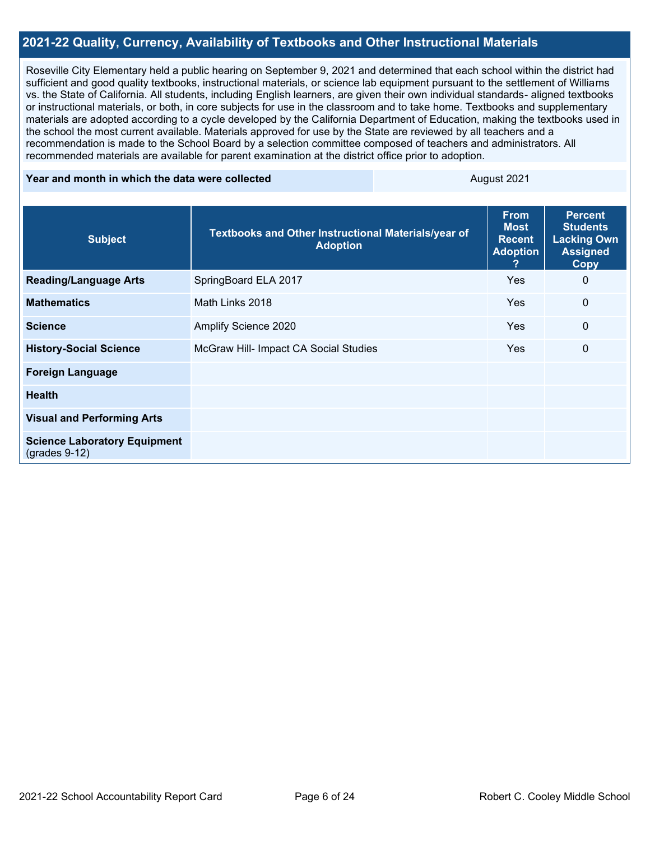### **2021-22 Quality, Currency, Availability of Textbooks and Other Instructional Materials**

Roseville City Elementary held a public hearing on September 9, 2021 and determined that each school within the district had sufficient and good quality textbooks, instructional materials, or science lab equipment pursuant to the settlement of Williams vs. the State of California. All students, including English learners, are given their own individual standards- aligned textbooks or instructional materials, or both, in core subjects for use in the classroom and to take home. Textbooks and supplementary materials are adopted according to a cycle developed by the California Department of Education, making the textbooks used in the school the most current available. Materials approved for use by the State are reviewed by all teachers and a recommendation is made to the School Board by a selection committee composed of teachers and administrators. All recommended materials are available for parent examination at the district office prior to adoption.

### **Year and month in which the data were collected** August 2021

| <b>Subject</b>                                         | Textbooks and Other Instructional Materials/year of<br><b>Adoption</b> | <b>From</b><br><b>Most</b><br><b>Recent</b><br><b>Adoption</b><br>? | <b>Percent</b><br><b>Students</b><br><b>Lacking Own</b><br><b>Assigned</b><br><b>Copy</b> |
|--------------------------------------------------------|------------------------------------------------------------------------|---------------------------------------------------------------------|-------------------------------------------------------------------------------------------|
| <b>Reading/Language Arts</b>                           | SpringBoard ELA 2017                                                   | <b>Yes</b>                                                          | 0                                                                                         |
| <b>Mathematics</b>                                     | Math Links 2018                                                        | <b>Yes</b>                                                          | 0                                                                                         |
| <b>Science</b>                                         | Amplify Science 2020                                                   | <b>Yes</b>                                                          | 0                                                                                         |
| <b>History-Social Science</b>                          | McGraw Hill- Impact CA Social Studies                                  | <b>Yes</b>                                                          | $\mathbf{0}$                                                                              |
| <b>Foreign Language</b>                                |                                                                        |                                                                     |                                                                                           |
| <b>Health</b>                                          |                                                                        |                                                                     |                                                                                           |
| <b>Visual and Performing Arts</b>                      |                                                                        |                                                                     |                                                                                           |
| <b>Science Laboratory Equipment</b><br>$(grades 9-12)$ |                                                                        |                                                                     |                                                                                           |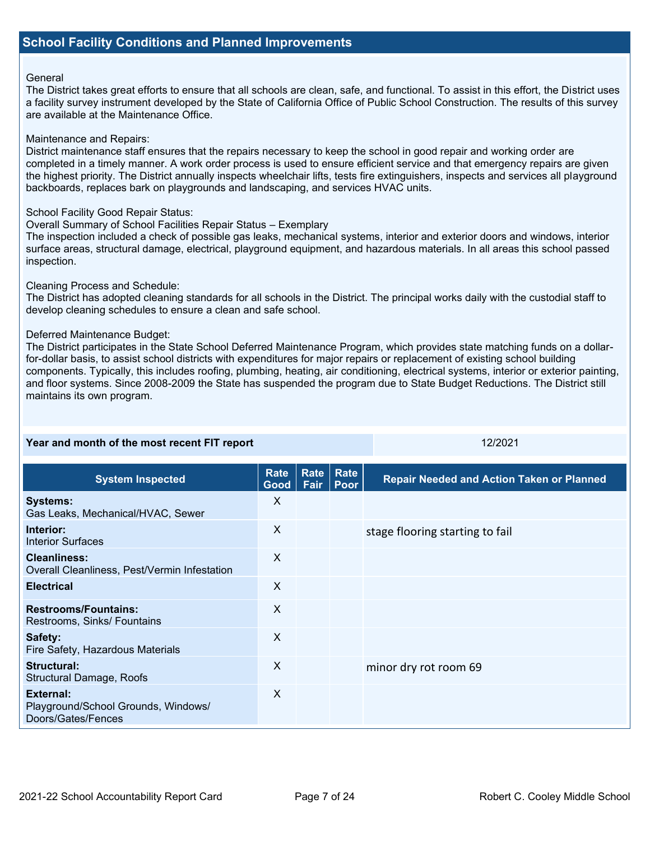### General

The District takes great efforts to ensure that all schools are clean, safe, and functional. To assist in this effort, the District uses a facility survey instrument developed by the State of California Office of Public School Construction. The results of this survey are available at the Maintenance Office.

### Maintenance and Repairs:

District maintenance staff ensures that the repairs necessary to keep the school in good repair and working order are completed in a timely manner. A work order process is used to ensure efficient service and that emergency repairs are given the highest priority. The District annually inspects wheelchair lifts, tests fire extinguishers, inspects and services all playground backboards, replaces bark on playgrounds and landscaping, and services HVAC units.

### School Facility Good Repair Status:

### Overall Summary of School Facilities Repair Status – Exemplary

The inspection included a check of possible gas leaks, mechanical systems, interior and exterior doors and windows, interior surface areas, structural damage, electrical, playground equipment, and hazardous materials. In all areas this school passed inspection.

### Cleaning Process and Schedule:

The District has adopted cleaning standards for all schools in the District. The principal works daily with the custodial staff to develop cleaning schedules to ensure a clean and safe school.

### Deferred Maintenance Budget:

The District participates in the State School Deferred Maintenance Program, which provides state matching funds on a dollarfor-dollar basis, to assist school districts with expenditures for major repairs or replacement of existing school building components. Typically, this includes roofing, plumbing, heating, air conditioning, electrical systems, interior or exterior painting, and floor systems. Since 2008-2009 the State has suspended the program due to State Budget Reductions. The District still maintains its own program.

| Year and month of the most recent FIT report                           |                     |              | 12/2021      |                                                  |
|------------------------------------------------------------------------|---------------------|--------------|--------------|--------------------------------------------------|
| <b>System Inspected</b>                                                | <b>Rate</b><br>Good | Rate<br>Fair | Rate<br>Poor | <b>Repair Needed and Action Taken or Planned</b> |
| <b>Systems:</b><br>Gas Leaks, Mechanical/HVAC, Sewer                   | X                   |              |              |                                                  |
| Interior:<br><b>Interior Surfaces</b>                                  | X                   |              |              | stage flooring starting to fail                  |
| <b>Cleanliness:</b><br>Overall Cleanliness, Pest/Vermin Infestation    | X                   |              |              |                                                  |
| <b>Electrical</b>                                                      | X                   |              |              |                                                  |
| <b>Restrooms/Fountains:</b><br>Restrooms, Sinks/ Fountains             | X                   |              |              |                                                  |
| Safety:<br>Fire Safety, Hazardous Materials                            | X                   |              |              |                                                  |
| <b>Structural:</b><br>Structural Damage, Roofs                         | X                   |              |              | minor dry rot room 69                            |
| External:<br>Playground/School Grounds, Windows/<br>Doors/Gates/Fences | X                   |              |              |                                                  |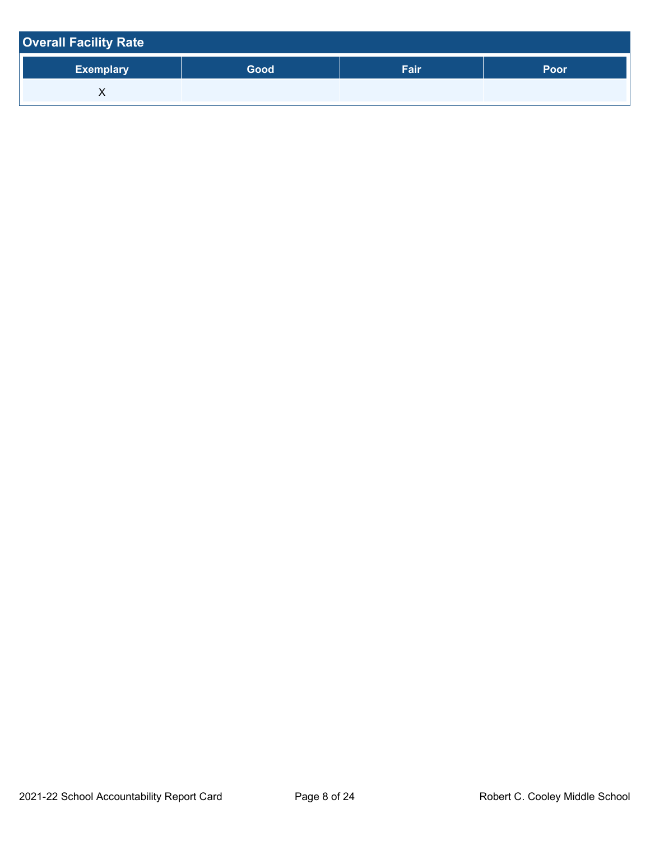| <b>Overall Facility Rate</b> |      |      |             |
|------------------------------|------|------|-------------|
| <b>Exemplary</b>             | Good | Fair | <b>Poor</b> |
|                              |      |      |             |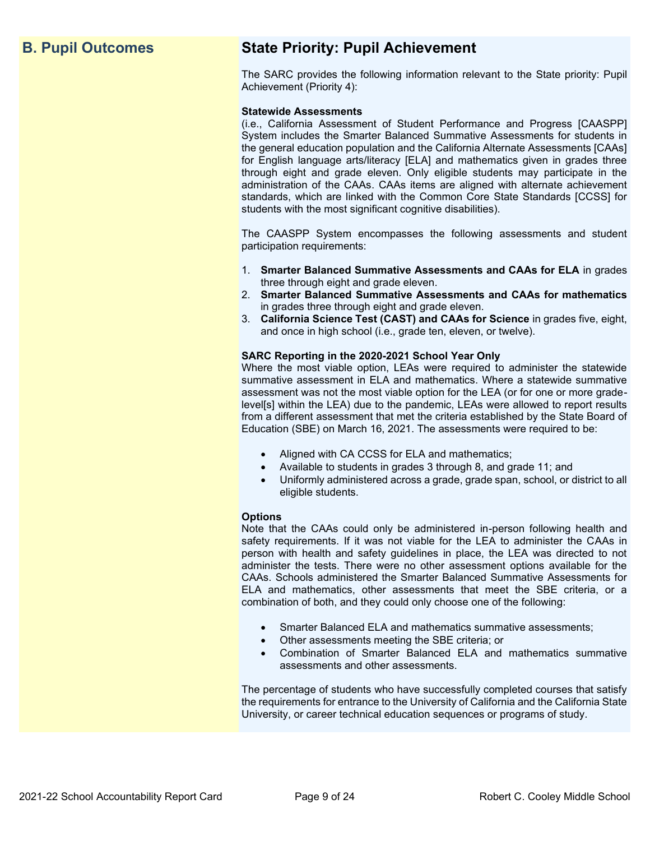# **B. Pupil Outcomes State Priority: Pupil Achievement**

The SARC provides the following information relevant to the State priority: Pupil Achievement (Priority 4):

### **Statewide Assessments**

(i.e., California Assessment of Student Performance and Progress [CAASPP] System includes the Smarter Balanced Summative Assessments for students in the general education population and the California Alternate Assessments [CAAs] for English language arts/literacy [ELA] and mathematics given in grades three through eight and grade eleven. Only eligible students may participate in the administration of the CAAs. CAAs items are aligned with alternate achievement standards, which are linked with the Common Core State Standards [CCSS] for students with the most significant cognitive disabilities).

The CAASPP System encompasses the following assessments and student participation requirements:

- 1. **Smarter Balanced Summative Assessments and CAAs for ELA** in grades three through eight and grade eleven.
- 2. **Smarter Balanced Summative Assessments and CAAs for mathematics** in grades three through eight and grade eleven.
- 3. **California Science Test (CAST) and CAAs for Science** in grades five, eight, and once in high school (i.e., grade ten, eleven, or twelve).

### **SARC Reporting in the 2020-2021 School Year Only**

Where the most viable option, LEAs were required to administer the statewide summative assessment in ELA and mathematics. Where a statewide summative assessment was not the most viable option for the LEA (or for one or more gradelevel[s] within the LEA) due to the pandemic, LEAs were allowed to report results from a different assessment that met the criteria established by the State Board of Education (SBE) on March 16, 2021. The assessments were required to be:

- Aligned with CA CCSS for ELA and mathematics;
- Available to students in grades 3 through 8, and grade 11; and
- Uniformly administered across a grade, grade span, school, or district to all eligible students.

### **Options**

Note that the CAAs could only be administered in-person following health and safety requirements. If it was not viable for the LEA to administer the CAAs in person with health and safety guidelines in place, the LEA was directed to not administer the tests. There were no other assessment options available for the CAAs. Schools administered the Smarter Balanced Summative Assessments for ELA and mathematics, other assessments that meet the SBE criteria, or a combination of both, and they could only choose one of the following:

- Smarter Balanced ELA and mathematics summative assessments;
- Other assessments meeting the SBE criteria; or
- Combination of Smarter Balanced ELA and mathematics summative assessments and other assessments.

The percentage of students who have successfully completed courses that satisfy the requirements for entrance to the University of California and the California State University, or career technical education sequences or programs of study.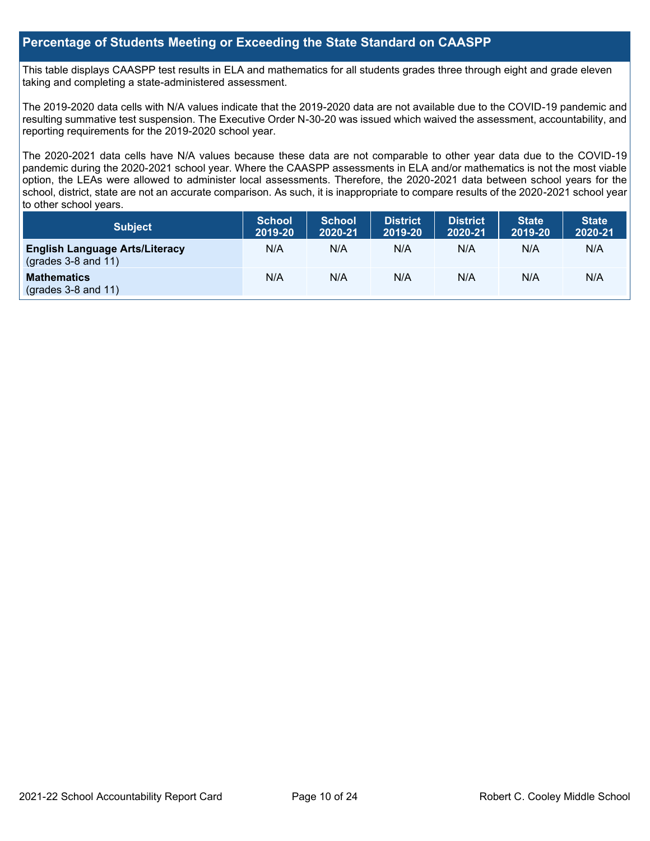### **Percentage of Students Meeting or Exceeding the State Standard on CAASPP**

This table displays CAASPP test results in ELA and mathematics for all students grades three through eight and grade eleven taking and completing a state-administered assessment.

The 2019-2020 data cells with N/A values indicate that the 2019-2020 data are not available due to the COVID-19 pandemic and resulting summative test suspension. The Executive Order N-30-20 was issued which waived the assessment, accountability, and reporting requirements for the 2019-2020 school year.

The 2020-2021 data cells have N/A values because these data are not comparable to other year data due to the COVID-19 pandemic during the 2020-2021 school year. Where the CAASPP assessments in ELA and/or mathematics is not the most viable option, the LEAs were allowed to administer local assessments. Therefore, the 2020-2021 data between school years for the school, district, state are not an accurate comparison. As such, it is inappropriate to compare results of the 2020-2021 school year to other school years.

| Subject                                                              | <b>School</b><br>2019-20 | <b>School</b><br>2020-21 | <b>District</b><br>2019-20 | <b>District</b><br>2020-21 | <b>State</b><br>2019-20 | <b>State</b><br>2020-21 |
|----------------------------------------------------------------------|--------------------------|--------------------------|----------------------------|----------------------------|-------------------------|-------------------------|
| <b>English Language Arts/Literacy</b><br>$\left($ grades 3-8 and 11) | N/A                      | N/A                      | N/A                        | N/A                        | N/A                     | N/A                     |
| <b>Mathematics</b><br>$(grades 3-8 and 11)$                          | N/A                      | N/A                      | N/A                        | N/A                        | N/A                     | N/A                     |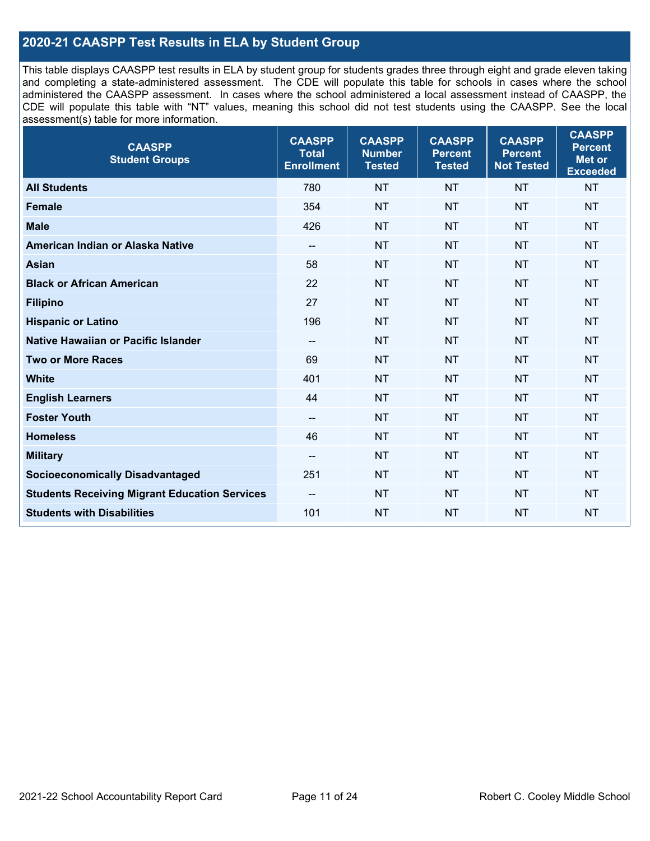### **2020-21 CAASPP Test Results in ELA by Student Group**

This table displays CAASPP test results in ELA by student group for students grades three through eight and grade eleven taking and completing a state-administered assessment. The CDE will populate this table for schools in cases where the school administered the CAASPP assessment. In cases where the school administered a local assessment instead of CAASPP, the CDE will populate this table with "NT" values, meaning this school did not test students using the CAASPP. See the local assessment(s) table for more information.

| <b>CAASPP</b><br><b>Student Groups</b>               | <b>CAASPP</b><br><b>Total</b><br><b>Enrollment</b> | <b>CAASPP</b><br><b>Number</b><br><b>Tested</b> | <b>CAASPP</b><br><b>Percent</b><br><b>Tested</b> | <b>CAASPP</b><br><b>Percent</b><br><b>Not Tested</b> | <b>CAASPP</b><br><b>Percent</b><br><b>Met or</b><br><b>Exceeded</b> |
|------------------------------------------------------|----------------------------------------------------|-------------------------------------------------|--------------------------------------------------|------------------------------------------------------|---------------------------------------------------------------------|
| <b>All Students</b>                                  | 780                                                | <b>NT</b>                                       | <b>NT</b>                                        | <b>NT</b>                                            | <b>NT</b>                                                           |
| <b>Female</b>                                        | 354                                                | <b>NT</b>                                       | <b>NT</b>                                        | <b>NT</b>                                            | <b>NT</b>                                                           |
| <b>Male</b>                                          | 426                                                | <b>NT</b>                                       | <b>NT</b>                                        | <b>NT</b>                                            | <b>NT</b>                                                           |
| American Indian or Alaska Native                     | $\overline{\phantom{a}}$                           | <b>NT</b>                                       | <b>NT</b>                                        | <b>NT</b>                                            | <b>NT</b>                                                           |
| <b>Asian</b>                                         | 58                                                 | <b>NT</b>                                       | <b>NT</b>                                        | <b>NT</b>                                            | <b>NT</b>                                                           |
| <b>Black or African American</b>                     | 22                                                 | <b>NT</b>                                       | <b>NT</b>                                        | <b>NT</b>                                            | NT                                                                  |
| <b>Filipino</b>                                      | 27                                                 | <b>NT</b>                                       | <b>NT</b>                                        | <b>NT</b>                                            | <b>NT</b>                                                           |
| <b>Hispanic or Latino</b>                            | 196                                                | <b>NT</b>                                       | <b>NT</b>                                        | <b>NT</b>                                            | <b>NT</b>                                                           |
| Native Hawaiian or Pacific Islander                  | $\qquad \qquad -$                                  | <b>NT</b>                                       | <b>NT</b>                                        | <b>NT</b>                                            | <b>NT</b>                                                           |
| <b>Two or More Races</b>                             | 69                                                 | <b>NT</b>                                       | <b>NT</b>                                        | <b>NT</b>                                            | <b>NT</b>                                                           |
| <b>White</b>                                         | 401                                                | <b>NT</b>                                       | <b>NT</b>                                        | <b>NT</b>                                            | NT                                                                  |
| <b>English Learners</b>                              | 44                                                 | <b>NT</b>                                       | <b>NT</b>                                        | <b>NT</b>                                            | <b>NT</b>                                                           |
| <b>Foster Youth</b>                                  | $\overline{a}$                                     | <b>NT</b>                                       | <b>NT</b>                                        | <b>NT</b>                                            | <b>NT</b>                                                           |
| <b>Homeless</b>                                      | 46                                                 | <b>NT</b>                                       | <b>NT</b>                                        | <b>NT</b>                                            | <b>NT</b>                                                           |
| <b>Military</b>                                      | --                                                 | <b>NT</b>                                       | <b>NT</b>                                        | <b>NT</b>                                            | <b>NT</b>                                                           |
| <b>Socioeconomically Disadvantaged</b>               | 251                                                | <b>NT</b>                                       | <b>NT</b>                                        | <b>NT</b>                                            | <b>NT</b>                                                           |
| <b>Students Receiving Migrant Education Services</b> | $\overline{\phantom{a}}$                           | <b>NT</b>                                       | <b>NT</b>                                        | <b>NT</b>                                            | NT                                                                  |
| <b>Students with Disabilities</b>                    | 101                                                | <b>NT</b>                                       | <b>NT</b>                                        | <b>NT</b>                                            | <b>NT</b>                                                           |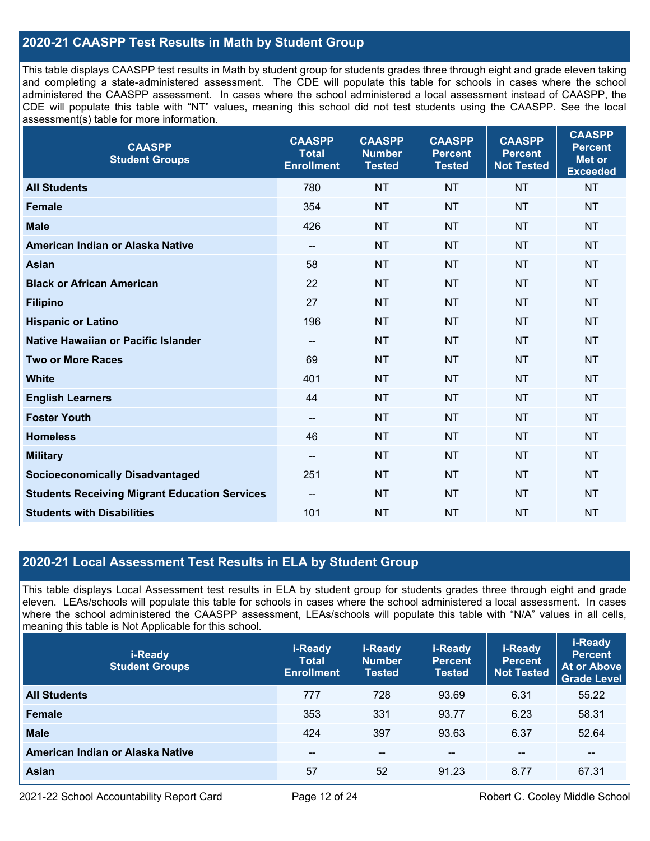### **2020-21 CAASPP Test Results in Math by Student Group**

This table displays CAASPP test results in Math by student group for students grades three through eight and grade eleven taking and completing a state-administered assessment. The CDE will populate this table for schools in cases where the school administered the CAASPP assessment. In cases where the school administered a local assessment instead of CAASPP, the CDE will populate this table with "NT" values, meaning this school did not test students using the CAASPP. See the local assessment(s) table for more information.

| <b>CAASPP</b><br><b>Student Groups</b>               | <b>CAASPP</b><br><b>Total</b><br><b>Enrollment</b> | <b>CAASPP</b><br><b>Number</b><br><b>Tested</b> | <b>CAASPP</b><br><b>Percent</b><br><b>Tested</b> | <b>CAASPP</b><br><b>Percent</b><br><b>Not Tested</b> | <b>CAASPP</b><br><b>Percent</b><br><b>Met or</b><br><b>Exceeded</b> |
|------------------------------------------------------|----------------------------------------------------|-------------------------------------------------|--------------------------------------------------|------------------------------------------------------|---------------------------------------------------------------------|
| <b>All Students</b>                                  | 780                                                | <b>NT</b>                                       | <b>NT</b>                                        | <b>NT</b>                                            | <b>NT</b>                                                           |
| <b>Female</b>                                        | 354                                                | <b>NT</b>                                       | <b>NT</b>                                        | <b>NT</b>                                            | <b>NT</b>                                                           |
| <b>Male</b>                                          | 426                                                | <b>NT</b>                                       | <b>NT</b>                                        | <b>NT</b>                                            | <b>NT</b>                                                           |
| American Indian or Alaska Native                     | $\overline{\phantom{a}}$                           | <b>NT</b>                                       | <b>NT</b>                                        | <b>NT</b>                                            | <b>NT</b>                                                           |
| <b>Asian</b>                                         | 58                                                 | <b>NT</b>                                       | <b>NT</b>                                        | <b>NT</b>                                            | <b>NT</b>                                                           |
| <b>Black or African American</b>                     | 22                                                 | <b>NT</b>                                       | <b>NT</b>                                        | <b>NT</b>                                            | <b>NT</b>                                                           |
| <b>Filipino</b>                                      | 27                                                 | <b>NT</b>                                       | <b>NT</b>                                        | <b>NT</b>                                            | <b>NT</b>                                                           |
| <b>Hispanic or Latino</b>                            | 196                                                | <b>NT</b>                                       | <b>NT</b>                                        | <b>NT</b>                                            | <b>NT</b>                                                           |
| Native Hawaiian or Pacific Islander                  | $\overline{\phantom{a}}$                           | <b>NT</b>                                       | <b>NT</b>                                        | <b>NT</b>                                            | <b>NT</b>                                                           |
| <b>Two or More Races</b>                             | 69                                                 | <b>NT</b>                                       | <b>NT</b>                                        | <b>NT</b>                                            | <b>NT</b>                                                           |
| <b>White</b>                                         | 401                                                | <b>NT</b>                                       | <b>NT</b>                                        | <b>NT</b>                                            | <b>NT</b>                                                           |
| <b>English Learners</b>                              | 44                                                 | <b>NT</b>                                       | <b>NT</b>                                        | <b>NT</b>                                            | <b>NT</b>                                                           |
| <b>Foster Youth</b>                                  | $\overline{\phantom{a}}$                           | <b>NT</b>                                       | <b>NT</b>                                        | <b>NT</b>                                            | <b>NT</b>                                                           |
| <b>Homeless</b>                                      | 46                                                 | <b>NT</b>                                       | <b>NT</b>                                        | <b>NT</b>                                            | <b>NT</b>                                                           |
| <b>Military</b>                                      | $\overline{\phantom{a}}$                           | <b>NT</b>                                       | <b>NT</b>                                        | <b>NT</b>                                            | <b>NT</b>                                                           |
| <b>Socioeconomically Disadvantaged</b>               | 251                                                | <b>NT</b>                                       | <b>NT</b>                                        | <b>NT</b>                                            | <b>NT</b>                                                           |
| <b>Students Receiving Migrant Education Services</b> | $\overline{\phantom{a}}$                           | <b>NT</b>                                       | <b>NT</b>                                        | <b>NT</b>                                            | <b>NT</b>                                                           |
| <b>Students with Disabilities</b>                    | 101                                                | <b>NT</b>                                       | <b>NT</b>                                        | <b>NT</b>                                            | <b>NT</b>                                                           |

### **2020-21 Local Assessment Test Results in ELA by Student Group**

This table displays Local Assessment test results in ELA by student group for students grades three through eight and grade eleven. LEAs/schools will populate this table for schools in cases where the school administered a local assessment. In cases where the school administered the CAASPP assessment, LEAs/schools will populate this table with "N/A" values in all cells, meaning this table is Not Applicable for this school.

| i-Ready<br><b>Student Groups</b> | i-Ready<br><b>Total</b><br><b>Enrollment</b> | i-Ready<br><b>Number</b><br><b>Tested</b> | i-Ready<br><b>Percent</b><br><b>Tested</b> | i-Ready<br><b>Percent</b><br><b>Not Tested</b> | i-Ready<br><b>Percent</b><br><b>At or Above</b><br><b>Grade Level</b> |
|----------------------------------|----------------------------------------------|-------------------------------------------|--------------------------------------------|------------------------------------------------|-----------------------------------------------------------------------|
| <b>All Students</b>              | 777                                          | 728                                       | 93.69                                      | 6.31                                           | 55.22                                                                 |
| <b>Female</b>                    | 353                                          | 331                                       | 93.77                                      | 6.23                                           | 58.31                                                                 |
| <b>Male</b>                      | 424                                          | 397                                       | 93.63                                      | 6.37                                           | 52.64                                                                 |
| American Indian or Alaska Native | $- -$                                        | $- -$                                     | $- -$                                      | $- -$                                          | $- -$                                                                 |
| <b>Asian</b>                     | 57                                           | 52                                        | 91.23                                      | 8.77                                           | 67.31                                                                 |

2021-22 School Accountability Report Card **Page 12 of 24** Robert C. Cooley Middle School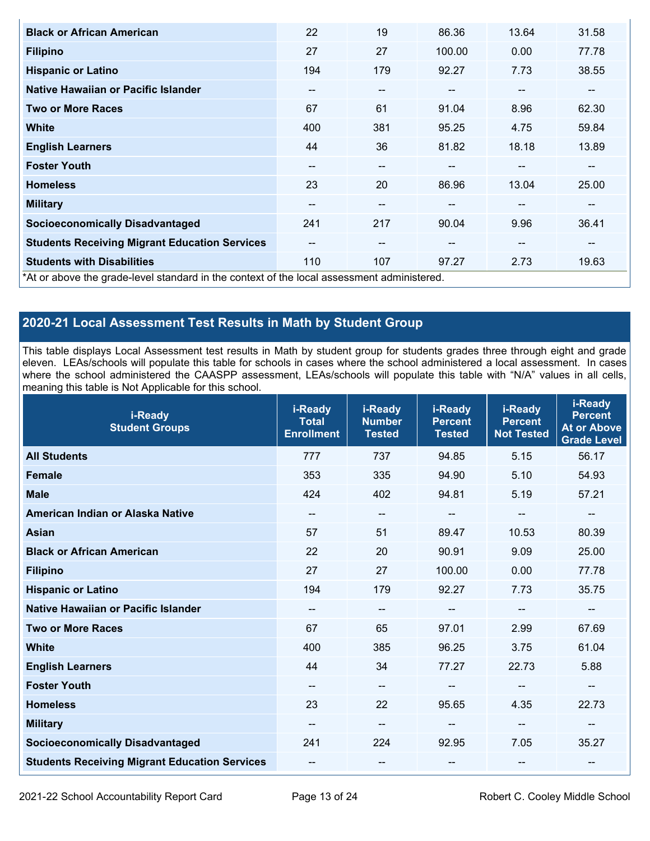| <b>Black or African American</b>                                                           | 22                       | 19                       | 86.36         | 13.64                    | 31.58 |
|--------------------------------------------------------------------------------------------|--------------------------|--------------------------|---------------|--------------------------|-------|
| <b>Filipino</b>                                                                            | 27                       | 27                       | 100.00        | 0.00                     | 77.78 |
| <b>Hispanic or Latino</b>                                                                  | 194                      | 179                      | 92.27         | 7.73                     | 38.55 |
| Native Hawaiian or Pacific Islander                                                        | --                       | --                       |               | --                       | --    |
| <b>Two or More Races</b>                                                                   | 67                       | 61                       | 91.04         | 8.96                     | 62.30 |
| <b>White</b>                                                                               | 400                      | 381                      | 95.25         | 4.75                     | 59.84 |
| <b>English Learners</b>                                                                    | 44                       | 36                       | 81.82         | 18.18                    | 13.89 |
| <b>Foster Youth</b>                                                                        | $\overline{\phantom{m}}$ | $\overline{\phantom{m}}$ | --            | --                       | --    |
| <b>Homeless</b>                                                                            | 23                       | 20                       | 86.96         | 13.04                    | 25.00 |
| <b>Military</b>                                                                            | $\overline{\phantom{m}}$ | $- -$                    | $\sim$ $\sim$ | --                       | --    |
| <b>Socioeconomically Disadvantaged</b>                                                     | 241                      | 217                      | 90.04         | 9.96                     | 36.41 |
| <b>Students Receiving Migrant Education Services</b>                                       | $\overline{\phantom{m}}$ | $- -$                    | $- -$         | $\overline{\phantom{m}}$ | --    |
| <b>Students with Disabilities</b>                                                          | 110                      | 107                      | 97.27         | 2.73                     | 19.63 |
| *At or above the grade-level standard in the context of the local assessment administered. |                          |                          |               |                          |       |

# **2020-21 Local Assessment Test Results in Math by Student Group**

This table displays Local Assessment test results in Math by student group for students grades three through eight and grade eleven. LEAs/schools will populate this table for schools in cases where the school administered a local assessment. In cases where the school administered the CAASPP assessment, LEAs/schools will populate this table with "N/A" values in all cells, meaning this table is Not Applicable for this school.

| i-Ready<br><b>Student Groups</b>                     | i-Ready<br><b>Total</b><br><b>Enrollment</b> | i-Ready<br><b>Number</b><br><b>Tested</b> | i-Ready<br><b>Percent</b><br><b>Tested</b> | i-Ready<br><b>Percent</b><br><b>Not Tested</b> | i-Ready<br><b>Percent</b><br><b>At or Above</b><br><b>Grade Level</b> |
|------------------------------------------------------|----------------------------------------------|-------------------------------------------|--------------------------------------------|------------------------------------------------|-----------------------------------------------------------------------|
| <b>All Students</b>                                  | 777                                          | 737                                       | 94.85                                      | 5.15                                           | 56.17                                                                 |
| <b>Female</b>                                        | 353                                          | 335                                       | 94.90                                      | 5.10                                           | 54.93                                                                 |
| <b>Male</b>                                          | 424                                          | 402                                       | 94.81                                      | 5.19                                           | 57.21                                                                 |
| American Indian or Alaska Native                     | $\overline{\phantom{a}}$                     | $\overline{\phantom{a}}$                  | $\overline{\phantom{a}}$                   | $\overline{\phantom{a}}$                       | --                                                                    |
| <b>Asian</b>                                         | 57                                           | 51                                        | 89.47                                      | 10.53                                          | 80.39                                                                 |
| <b>Black or African American</b>                     | 22                                           | 20                                        | 90.91                                      | 9.09                                           | 25.00                                                                 |
| <b>Filipino</b>                                      | 27                                           | 27                                        | 100.00                                     | 0.00                                           | 77.78                                                                 |
| <b>Hispanic or Latino</b>                            | 194                                          | 179                                       | 92.27                                      | 7.73                                           | 35.75                                                                 |
| Native Hawaiian or Pacific Islander                  | $\qquad \qquad -$                            | $\qquad \qquad \qquad -$                  | --                                         | $\sim$                                         | $\overline{\phantom{m}}$                                              |
| <b>Two or More Races</b>                             | 67                                           | 65                                        | 97.01                                      | 2.99                                           | 67.69                                                                 |
| <b>White</b>                                         | 400                                          | 385                                       | 96.25                                      | 3.75                                           | 61.04                                                                 |
| <b>English Learners</b>                              | 44                                           | 34                                        | 77.27                                      | 22.73                                          | 5.88                                                                  |
| <b>Foster Youth</b>                                  | --                                           | $\qquad \qquad -$                         |                                            | $\sim$                                         | $\sim$                                                                |
| <b>Homeless</b>                                      | 23                                           | 22                                        | 95.65                                      | 4.35                                           | 22.73                                                                 |
| <b>Military</b>                                      | --                                           | --                                        |                                            | --                                             | --                                                                    |
| <b>Socioeconomically Disadvantaged</b>               | 241                                          | 224                                       | 92.95                                      | 7.05                                           | 35.27                                                                 |
| <b>Students Receiving Migrant Education Services</b> | --                                           | --                                        | --                                         | $\sim$                                         | --                                                                    |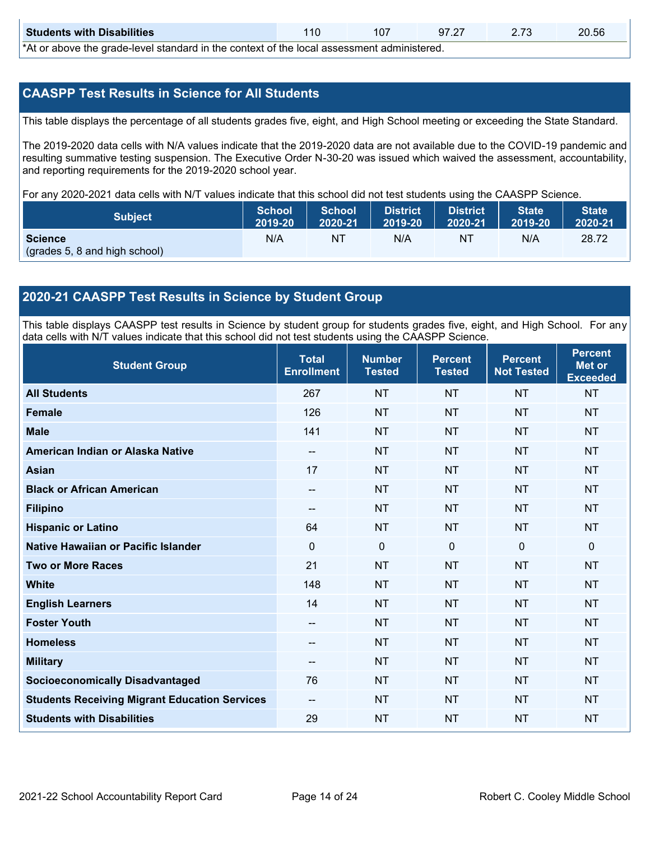| <b>Students with Disabilities</b>                                                                                   |  | 107 |  | 97.27 2.73 | 20.56 |  |  |
|---------------------------------------------------------------------------------------------------------------------|--|-----|--|------------|-------|--|--|
| *At an abacca that would have been doned by the counternt of the house against the director and a second the search |  |     |  |            |       |  |  |

\*At or above the grade-level standard in the context of the local assessment administered.

### **CAASPP Test Results in Science for All Students**

This table displays the percentage of all students grades five, eight, and High School meeting or exceeding the State Standard.

The 2019-2020 data cells with N/A values indicate that the 2019-2020 data are not available due to the COVID-19 pandemic and resulting summative testing suspension. The Executive Order N-30-20 was issued which waived the assessment, accountability, and reporting requirements for the 2019-2020 school year.

For any 2020-2021 data cells with N/T values indicate that this school did not test students using the CAASPP Science.

| <b>Subject</b>                                  | <b>School</b> | <b>School</b> | <b>District</b> | District | State   | <b>State</b> |
|-------------------------------------------------|---------------|---------------|-----------------|----------|---------|--------------|
|                                                 | 2019-20       | 2020-21       | 12019-20        | 2020-21  | 2019-20 | 2020-21      |
| <b>Science</b><br>(grades 5, 8 and high school) | N/A           | NT            | N/A             | NT       | N/A     | 28.72        |

### **2020-21 CAASPP Test Results in Science by Student Group**

This table displays CAASPP test results in Science by student group for students grades five, eight, and High School. For any data cells with N/T values indicate that this school did not test students using the CAASPP Science.

| <b>Student Group</b>                                 | <b>Total</b><br><b>Enrollment</b> | <b>Number</b><br><b>Tested</b> | <b>Percent</b><br><b>Tested</b> | <b>Percent</b><br><b>Not Tested</b> | <b>Percent</b><br><b>Met or</b><br><b>Exceeded</b> |
|------------------------------------------------------|-----------------------------------|--------------------------------|---------------------------------|-------------------------------------|----------------------------------------------------|
| <b>All Students</b>                                  | 267                               | <b>NT</b>                      | <b>NT</b>                       | <b>NT</b>                           | <b>NT</b>                                          |
| <b>Female</b>                                        | 126                               | <b>NT</b>                      | <b>NT</b>                       | <b>NT</b>                           | <b>NT</b>                                          |
| <b>Male</b>                                          | 141                               | <b>NT</b>                      | <b>NT</b>                       | <b>NT</b>                           | <b>NT</b>                                          |
| American Indian or Alaska Native                     | $\overline{\phantom{a}}$          | <b>NT</b>                      | <b>NT</b>                       | <b>NT</b>                           | <b>NT</b>                                          |
| <b>Asian</b>                                         | 17                                | <b>NT</b>                      | <b>NT</b>                       | <b>NT</b>                           | <b>NT</b>                                          |
| <b>Black or African American</b>                     | --                                | <b>NT</b>                      | <b>NT</b>                       | <b>NT</b>                           | <b>NT</b>                                          |
| <b>Filipino</b>                                      | --                                | <b>NT</b>                      | <b>NT</b>                       | <b>NT</b>                           | <b>NT</b>                                          |
| <b>Hispanic or Latino</b>                            | 64                                | <b>NT</b>                      | <b>NT</b>                       | <b>NT</b>                           | <b>NT</b>                                          |
| Native Hawaiian or Pacific Islander                  | 0                                 | $\mathbf 0$                    | $\mathbf 0$                     | $\mathbf 0$                         | $\mathbf 0$                                        |
| <b>Two or More Races</b>                             | 21                                | <b>NT</b>                      | <b>NT</b>                       | <b>NT</b>                           | <b>NT</b>                                          |
| <b>White</b>                                         | 148                               | <b>NT</b>                      | <b>NT</b>                       | <b>NT</b>                           | <b>NT</b>                                          |
| <b>English Learners</b>                              | 14                                | <b>NT</b>                      | <b>NT</b>                       | <b>NT</b>                           | <b>NT</b>                                          |
| <b>Foster Youth</b>                                  | --                                | <b>NT</b>                      | <b>NT</b>                       | <b>NT</b>                           | <b>NT</b>                                          |
| <b>Homeless</b>                                      | --                                | <b>NT</b>                      | <b>NT</b>                       | <b>NT</b>                           | <b>NT</b>                                          |
| <b>Military</b>                                      | $\sim$                            | <b>NT</b>                      | <b>NT</b>                       | <b>NT</b>                           | <b>NT</b>                                          |
| <b>Socioeconomically Disadvantaged</b>               | 76                                | <b>NT</b>                      | <b>NT</b>                       | <b>NT</b>                           | <b>NT</b>                                          |
| <b>Students Receiving Migrant Education Services</b> | --                                | <b>NT</b>                      | <b>NT</b>                       | <b>NT</b>                           | <b>NT</b>                                          |
| <b>Students with Disabilities</b>                    | 29                                | <b>NT</b>                      | <b>NT</b>                       | <b>NT</b>                           | <b>NT</b>                                          |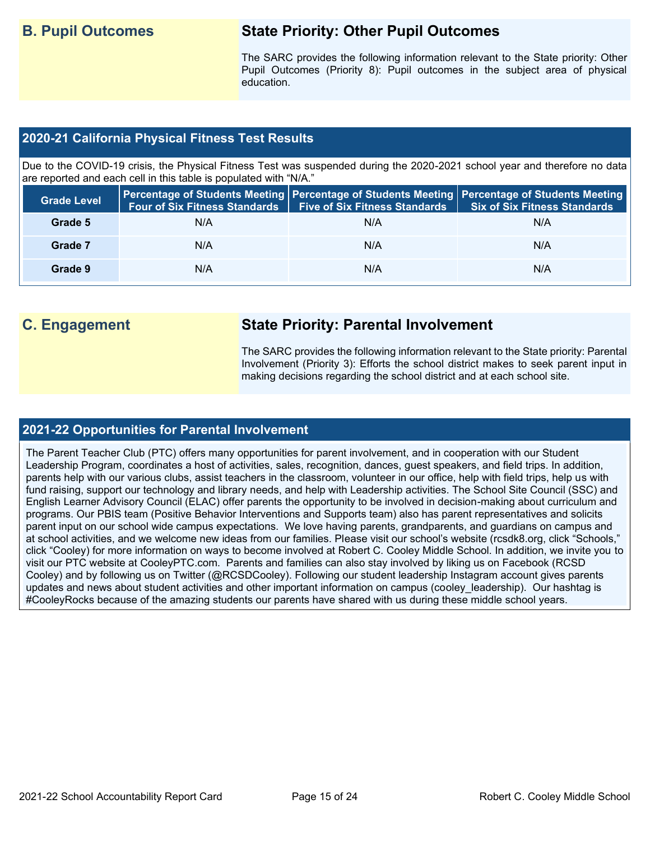# **B. Pupil Outcomes State Priority: Other Pupil Outcomes**

The SARC provides the following information relevant to the State priority: Other Pupil Outcomes (Priority 8): Pupil outcomes in the subject area of physical education.

### **2020-21 California Physical Fitness Test Results**

Due to the COVID-19 crisis, the Physical Fitness Test was suspended during the 2020-2021 school year and therefore no data are reported and each cell in this table is populated with "N/A."

| <b>Grade Level</b> | <b>Four of Six Fitness Standards</b> | <b>Five of Six Fitness Standards</b> | Percentage of Students Meeting   Percentage of Students Meeting   Percentage of Students Meeting  <br><b>Six of Six Fitness Standards</b> |
|--------------------|--------------------------------------|--------------------------------------|-------------------------------------------------------------------------------------------------------------------------------------------|
| Grade 5            | N/A                                  | N/A                                  | N/A                                                                                                                                       |
| Grade 7            | N/A                                  | N/A                                  | N/A                                                                                                                                       |
| Grade 9            | N/A                                  | N/A                                  | N/A                                                                                                                                       |

# **C. Engagement State Priority: Parental Involvement**

The SARC provides the following information relevant to the State priority: Parental Involvement (Priority 3): Efforts the school district makes to seek parent input in making decisions regarding the school district and at each school site.

### **2021-22 Opportunities for Parental Involvement**

The Parent Teacher Club (PTC) offers many opportunities for parent involvement, and in cooperation with our Student Leadership Program, coordinates a host of activities, sales, recognition, dances, guest speakers, and field trips. In addition, parents help with our various clubs, assist teachers in the classroom, volunteer in our office, help with field trips, help us with fund raising, support our technology and library needs, and help with Leadership activities. The School Site Council (SSC) and English Learner Advisory Council (ELAC) offer parents the opportunity to be involved in decision-making about curriculum and programs. Our PBIS team (Positive Behavior Interventions and Supports team) also has parent representatives and solicits parent input on our school wide campus expectations. We love having parents, grandparents, and guardians on campus and at school activities, and we welcome new ideas from our families. Please visit our school's website (rcsdk8.org, click "Schools," click "Cooley) for more information on ways to become involved at Robert C. Cooley Middle School. In addition, we invite you to visit our PTC website at CooleyPTC.com. Parents and families can also stay involved by liking us on Facebook (RCSD Cooley) and by following us on Twitter (@RCSDCooley). Following our student leadership Instagram account gives parents updates and news about student activities and other important information on campus (cooley leadership). Our hashtag is #CooleyRocks because of the amazing students our parents have shared with us during these middle school years.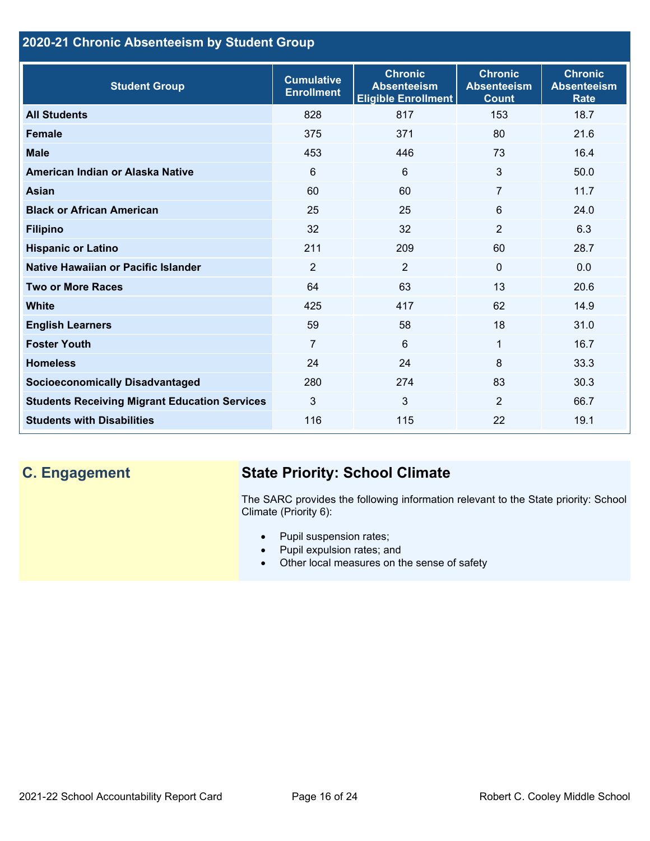# **2020-21 Chronic Absenteeism by Student Group**

| <b>Student Group</b>                                 | <b>Cumulative</b><br><b>Enrollment</b> | <b>Chronic</b><br><b>Absenteeism</b><br><b>Eligible Enrollment</b> | <b>Chronic</b><br><b>Absenteeism</b><br><b>Count</b> | <b>Chronic</b><br><b>Absenteeism</b><br><b>Rate</b> |
|------------------------------------------------------|----------------------------------------|--------------------------------------------------------------------|------------------------------------------------------|-----------------------------------------------------|
| <b>All Students</b>                                  | 828                                    | 817                                                                | 153                                                  | 18.7                                                |
| <b>Female</b>                                        | 375                                    | 371                                                                | 80                                                   | 21.6                                                |
| <b>Male</b>                                          | 453                                    | 446                                                                | 73                                                   | 16.4                                                |
| American Indian or Alaska Native                     | 6                                      | 6                                                                  | 3                                                    | 50.0                                                |
| <b>Asian</b>                                         | 60                                     | 60                                                                 | 7                                                    | 11.7                                                |
| <b>Black or African American</b>                     | 25                                     | 25                                                                 | 6                                                    | 24.0                                                |
| <b>Filipino</b>                                      | 32                                     | 32                                                                 | $\overline{2}$                                       | 6.3                                                 |
| <b>Hispanic or Latino</b>                            | 211                                    | 209                                                                | 60                                                   | 28.7                                                |
| Native Hawaiian or Pacific Islander                  | $\overline{2}$                         | $\overline{2}$                                                     | $\mathbf 0$                                          | 0.0                                                 |
| <b>Two or More Races</b>                             | 64                                     | 63                                                                 | 13                                                   | 20.6                                                |
| <b>White</b>                                         | 425                                    | 417                                                                | 62                                                   | 14.9                                                |
| <b>English Learners</b>                              | 59                                     | 58                                                                 | 18                                                   | 31.0                                                |
| <b>Foster Youth</b>                                  | $\overline{7}$                         | $6\phantom{1}$                                                     | 1                                                    | 16.7                                                |
| <b>Homeless</b>                                      | 24                                     | 24                                                                 | 8                                                    | 33.3                                                |
| <b>Socioeconomically Disadvantaged</b>               | 280                                    | 274                                                                | 83                                                   | 30.3                                                |
| <b>Students Receiving Migrant Education Services</b> | 3                                      | 3                                                                  | $\overline{2}$                                       | 66.7                                                |
| <b>Students with Disabilities</b>                    | 116                                    | 115                                                                | 22                                                   | 19.1                                                |

# **C. Engagement State Priority: School Climate**

The SARC provides the following information relevant to the State priority: School Climate (Priority 6):

- Pupil suspension rates;
- Pupil expulsion rates; and
- Other local measures on the sense of safety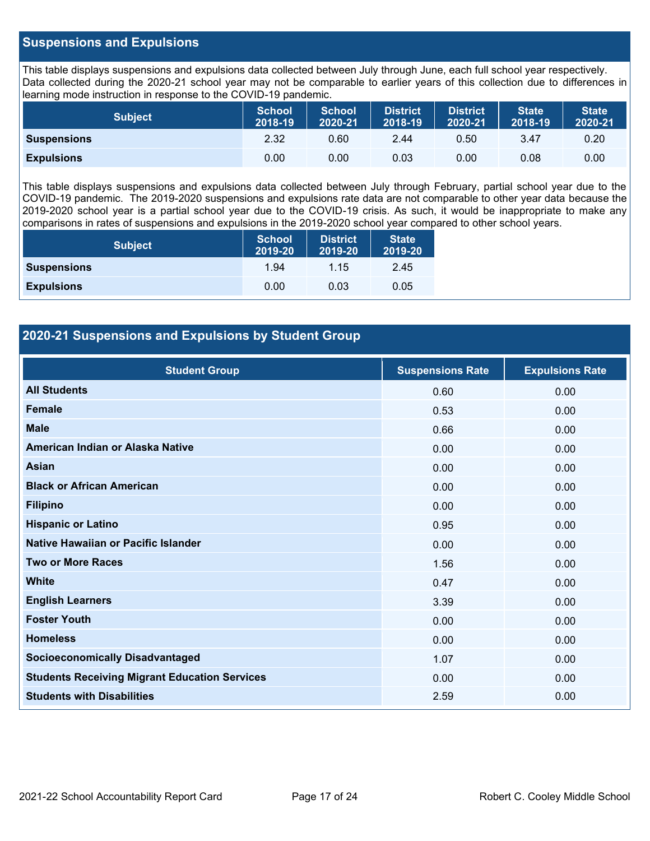### **Suspensions and Expulsions**

This table displays suspensions and expulsions data collected between July through June, each full school year respectively. Data collected during the 2020-21 school year may not be comparable to earlier years of this collection due to differences in learning mode instruction in response to the COVID-19 pandemic.

| <b>Subject</b>     | <b>School</b><br>2018-19 | <b>School</b><br>2020-21 | <b>District</b><br>2018-19 | <b>District</b><br>2020-21 | <b>State</b><br>2018-19 | <b>State</b><br>2020-21 |
|--------------------|--------------------------|--------------------------|----------------------------|----------------------------|-------------------------|-------------------------|
| <b>Suspensions</b> | 2.32                     | 0.60                     | 2.44                       | 0.50                       | 3.47                    | 0.20                    |
| <b>Expulsions</b>  | 0.00                     | 0.00                     | 0.03                       | 0.00                       | 0.08                    | 0.00                    |

This table displays suspensions and expulsions data collected between July through February, partial school year due to the COVID-19 pandemic. The 2019-2020 suspensions and expulsions rate data are not comparable to other year data because the 2019-2020 school year is a partial school year due to the COVID-19 crisis. As such, it would be inappropriate to make any comparisons in rates of suspensions and expulsions in the 2019-2020 school year compared to other school years.

| <b>Subject</b>     | <b>School</b><br>2019-20 | <b>District</b><br>2019-20 | <b>State</b><br>2019-20 |
|--------------------|--------------------------|----------------------------|-------------------------|
| <b>Suspensions</b> | 1.94                     | 1.15                       | 2.45                    |
| <b>Expulsions</b>  | 0.00                     | 0.03                       | 0.05                    |

### **2020-21 Suspensions and Expulsions by Student Group**

| <b>Student Group</b>                                 | <b>Suspensions Rate</b> | <b>Expulsions Rate</b> |
|------------------------------------------------------|-------------------------|------------------------|
| <b>All Students</b>                                  | 0.60                    | 0.00                   |
| <b>Female</b>                                        | 0.53                    | 0.00                   |
| <b>Male</b>                                          | 0.66                    | 0.00                   |
| American Indian or Alaska Native                     | 0.00                    | 0.00                   |
| <b>Asian</b>                                         | 0.00                    | 0.00                   |
| <b>Black or African American</b>                     | 0.00                    | 0.00                   |
| <b>Filipino</b>                                      | 0.00                    | 0.00                   |
| <b>Hispanic or Latino</b>                            | 0.95                    | 0.00                   |
| Native Hawaiian or Pacific Islander                  | 0.00                    | 0.00                   |
| <b>Two or More Races</b>                             | 1.56                    | 0.00                   |
| <b>White</b>                                         | 0.47                    | 0.00                   |
| <b>English Learners</b>                              | 3.39                    | 0.00                   |
| <b>Foster Youth</b>                                  | 0.00                    | 0.00                   |
| <b>Homeless</b>                                      | 0.00                    | 0.00                   |
| <b>Socioeconomically Disadvantaged</b>               | 1.07                    | 0.00                   |
| <b>Students Receiving Migrant Education Services</b> | 0.00                    | 0.00                   |
| <b>Students with Disabilities</b>                    | 2.59                    | 0.00                   |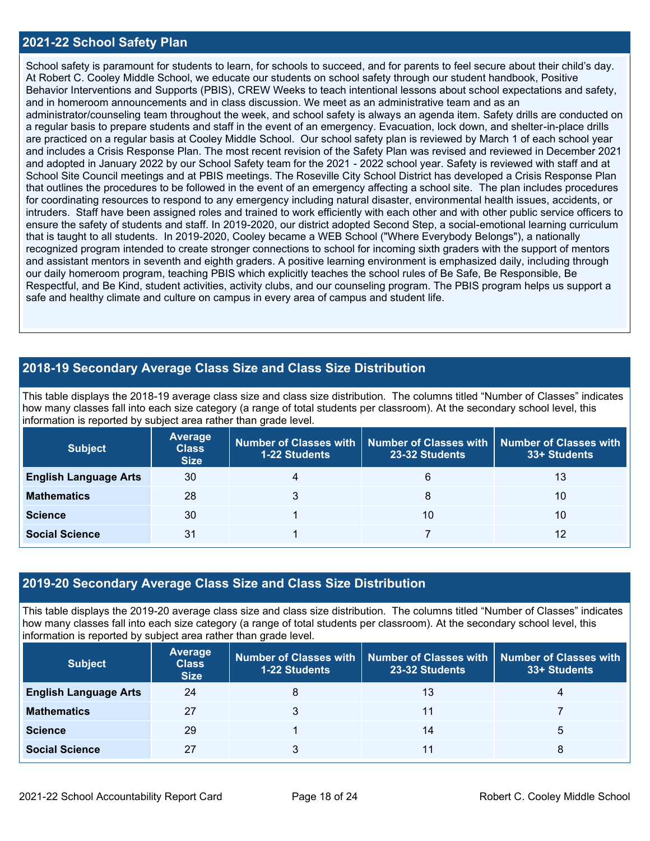### **2021-22 School Safety Plan**

School safety is paramount for students to learn, for schools to succeed, and for parents to feel secure about their child's day. At Robert C. Cooley Middle School, we educate our students on school safety through our student handbook, Positive Behavior Interventions and Supports (PBIS), CREW Weeks to teach intentional lessons about school expectations and safety, and in homeroom announcements and in class discussion. We meet as an administrative team and as an administrator/counseling team throughout the week, and school safety is always an agenda item. Safety drills are conducted on a regular basis to prepare students and staff in the event of an emergency. Evacuation, lock down, and shelter-in-place drills are practiced on a regular basis at Cooley Middle School. Our school safety plan is reviewed by March 1 of each school year and includes a Crisis Response Plan. The most recent revision of the Safety Plan was revised and reviewed in December 2021 and adopted in January 2022 by our School Safety team for the 2021 - 2022 school year. Safety is reviewed with staff and at School Site Council meetings and at PBIS meetings. The Roseville City School District has developed a Crisis Response Plan that outlines the procedures to be followed in the event of an emergency affecting a school site. The plan includes procedures for coordinating resources to respond to any emergency including natural disaster, environmental health issues, accidents, or intruders. Staff have been assigned roles and trained to work efficiently with each other and with other public service officers to ensure the safety of students and staff. In 2019-2020, our district adopted Second Step, a social-emotional learning curriculum that is taught to all students. In 2019-2020, Cooley became a WEB School ("Where Everybody Belongs"), a nationally recognized program intended to create stronger connections to school for incoming sixth graders with the support of mentors and assistant mentors in seventh and eighth graders. A positive learning environment is emphasized daily, including through our daily homeroom program, teaching PBIS which explicitly teaches the school rules of Be Safe, Be Responsible, Be Respectful, and Be Kind, student activities, activity clubs, and our counseling program. The PBIS program helps us support a safe and healthy climate and culture on campus in every area of campus and student life.

### **2018-19 Secondary Average Class Size and Class Size Distribution**

This table displays the 2018-19 average class size and class size distribution. The columns titled "Number of Classes" indicates how many classes fall into each size category (a range of total students per classroom). At the secondary school level, this information is reported by subject area rather than grade level.

| <b>Subject</b>               | <b>Average</b><br><b>Class</b><br><b>Size</b> | Number of Classes with  <br>1-22 Students | 23-32 Students | Number of Classes with   Number of Classes with<br>33+ Students |
|------------------------------|-----------------------------------------------|-------------------------------------------|----------------|-----------------------------------------------------------------|
| <b>English Language Arts</b> | 30                                            |                                           | 6              | 13                                                              |
| <b>Mathematics</b>           | 28                                            |                                           | 8              | 10                                                              |
| <b>Science</b>               | 30                                            |                                           | 10             | 10                                                              |
| <b>Social Science</b>        | 31                                            |                                           |                | 12                                                              |

### **2019-20 Secondary Average Class Size and Class Size Distribution**

This table displays the 2019-20 average class size and class size distribution. The columns titled "Number of Classes" indicates how many classes fall into each size category (a range of total students per classroom). At the secondary school level, this information is reported by subject area rather than grade level.

| <b>Subject</b>               | Average<br><b>Class</b><br><b>Size</b> | <b>1-22 Students</b> | $\mid$ Number of Classes with $\mid$ Number of Classes with $\mid$ Number of Classes with<br>23-32 Students | 33+ Students |
|------------------------------|----------------------------------------|----------------------|-------------------------------------------------------------------------------------------------------------|--------------|
| <b>English Language Arts</b> | 24                                     |                      | 13                                                                                                          | 4            |
| <b>Mathematics</b>           | 27                                     |                      | 11                                                                                                          |              |
| <b>Science</b>               | 29                                     |                      | 14                                                                                                          | 5            |
| <b>Social Science</b>        | 27                                     |                      |                                                                                                             | 8            |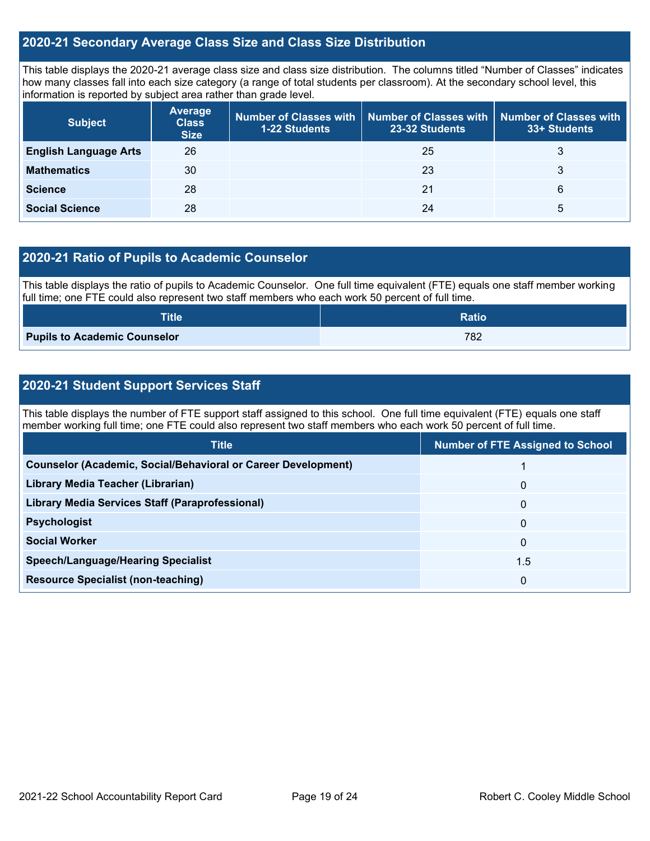### **2020-21 Secondary Average Class Size and Class Size Distribution**

This table displays the 2020-21 average class size and class size distribution. The columns titled "Number of Classes" indicates how many classes fall into each size category (a range of total students per classroom). At the secondary school level, this information is reported by subject area rather than grade level.

| <b>Subject</b>               | <b>Average</b><br><b>Class</b><br><b>Size</b> | 1-22 Students | Number of Classes with $\mid$ Number of Classes with $\mid$ Number of Classes with<br>23-32 Students | 33+ Students |
|------------------------------|-----------------------------------------------|---------------|------------------------------------------------------------------------------------------------------|--------------|
| <b>English Language Arts</b> | 26                                            |               | 25                                                                                                   | 3            |
| <b>Mathematics</b>           | 30                                            |               | 23                                                                                                   | 3            |
| <b>Science</b>               | 28                                            |               | 21                                                                                                   | 6            |
| <b>Social Science</b>        | 28                                            |               | 24                                                                                                   | 5            |

### **2020-21 Ratio of Pupils to Academic Counselor**

This table displays the ratio of pupils to Academic Counselor. One full time equivalent (FTE) equals one staff member working full time; one FTE could also represent two staff members who each work 50 percent of full time.

| <b>Title</b>                        | <b>Ratio</b> |
|-------------------------------------|--------------|
| <b>Pupils to Academic Counselor</b> | 782          |

### **2020-21 Student Support Services Staff**

This table displays the number of FTE support staff assigned to this school. One full time equivalent (FTE) equals one staff member working full time; one FTE could also represent two staff members who each work 50 percent of full time.

| <b>Number of FTE Assigned to School</b> |
|-----------------------------------------|
|                                         |
| $\mathbf{0}$                            |
| $\mathbf{0}$                            |
| $\mathbf{0}$                            |
| 0                                       |
| 1.5                                     |
| 0                                       |
|                                         |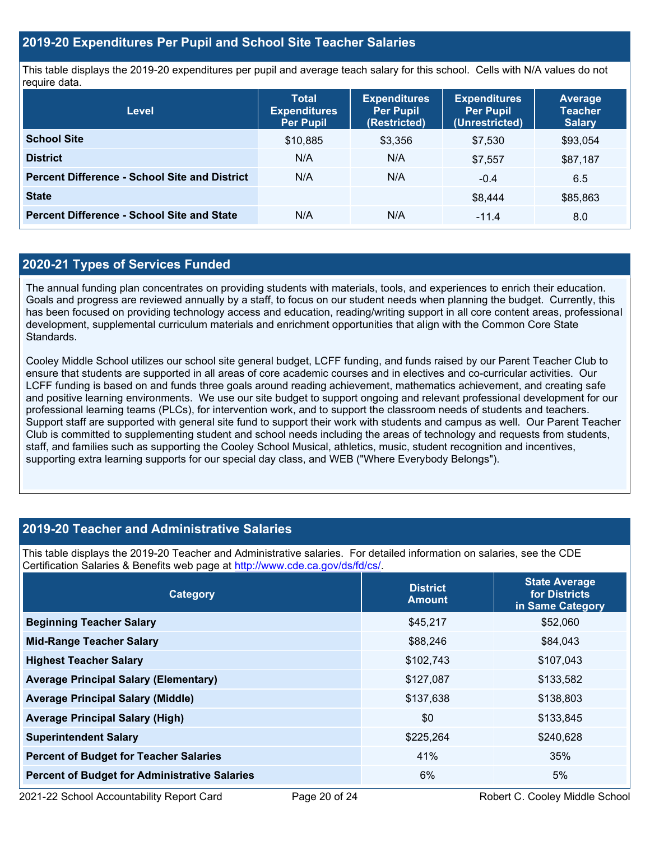### **2019-20 Expenditures Per Pupil and School Site Teacher Salaries**

This table displays the 2019-20 expenditures per pupil and average teach salary for this school. Cells with N/A values do not require data.

| <b>Level</b>                                         | <b>Total</b><br><b>Expenditures</b><br><b>Per Pupil</b> | <b>Expenditures</b><br><b>Per Pupil</b><br>(Restricted) | <b>Expenditures</b><br><b>Per Pupil</b><br>(Unrestricted) | <b>Average</b><br><b>Teacher</b><br><b>Salary</b> |
|------------------------------------------------------|---------------------------------------------------------|---------------------------------------------------------|-----------------------------------------------------------|---------------------------------------------------|
| <b>School Site</b>                                   | \$10,885                                                | \$3,356                                                 | \$7,530                                                   | \$93,054                                          |
| <b>District</b>                                      | N/A                                                     | N/A                                                     | \$7,557                                                   | \$87,187                                          |
| <b>Percent Difference - School Site and District</b> | N/A                                                     | N/A                                                     | $-0.4$                                                    | 6.5                                               |
| <b>State</b>                                         |                                                         |                                                         | \$8,444                                                   | \$85,863                                          |
| <b>Percent Difference - School Site and State</b>    | N/A                                                     | N/A                                                     | $-11.4$                                                   | 8.0                                               |

### **2020-21 Types of Services Funded**

The annual funding plan concentrates on providing students with materials, tools, and experiences to enrich their education. Goals and progress are reviewed annually by a staff, to focus on our student needs when planning the budget. Currently, this has been focused on providing technology access and education, reading/writing support in all core content areas, professional development, supplemental curriculum materials and enrichment opportunities that align with the Common Core State **Standards** 

Cooley Middle School utilizes our school site general budget, LCFF funding, and funds raised by our Parent Teacher Club to ensure that students are supported in all areas of core academic courses and in electives and co-curricular activities. Our LCFF funding is based on and funds three goals around reading achievement, mathematics achievement, and creating safe and positive learning environments. We use our site budget to support ongoing and relevant professional development for our professional learning teams (PLCs), for intervention work, and to support the classroom needs of students and teachers. Support staff are supported with general site fund to support their work with students and campus as well. Our Parent Teacher Club is committed to supplementing student and school needs including the areas of technology and requests from students, staff, and families such as supporting the Cooley School Musical, athletics, music, student recognition and incentives, supporting extra learning supports for our special day class, and WEB ("Where Everybody Belongs").

### **2019-20 Teacher and Administrative Salaries**

This table displays the 2019-20 Teacher and Administrative salaries. For detailed information on salaries, see the CDE Certification Salaries & Benefits web page at [http://www.cde.ca.gov/ds/fd/cs/.](http://www.cde.ca.gov/ds/fd/cs/)

| Category                                             | <b>District</b><br><b>Amount</b> | <b>State Average</b><br>for Districts<br>in Same Category |
|------------------------------------------------------|----------------------------------|-----------------------------------------------------------|
| <b>Beginning Teacher Salary</b>                      | \$45,217                         | \$52,060                                                  |
| <b>Mid-Range Teacher Salary</b>                      | \$88,246                         | \$84,043                                                  |
| <b>Highest Teacher Salary</b>                        | \$102,743                        | \$107,043                                                 |
| <b>Average Principal Salary (Elementary)</b>         | \$127,087                        | \$133,582                                                 |
| <b>Average Principal Salary (Middle)</b>             | \$137,638                        | \$138,803                                                 |
| <b>Average Principal Salary (High)</b>               | \$0                              | \$133,845                                                 |
| <b>Superintendent Salary</b>                         | \$225,264                        | \$240,628                                                 |
| <b>Percent of Budget for Teacher Salaries</b>        | 41%                              | 35%                                                       |
| <b>Percent of Budget for Administrative Salaries</b> | $6\%$                            | 5%                                                        |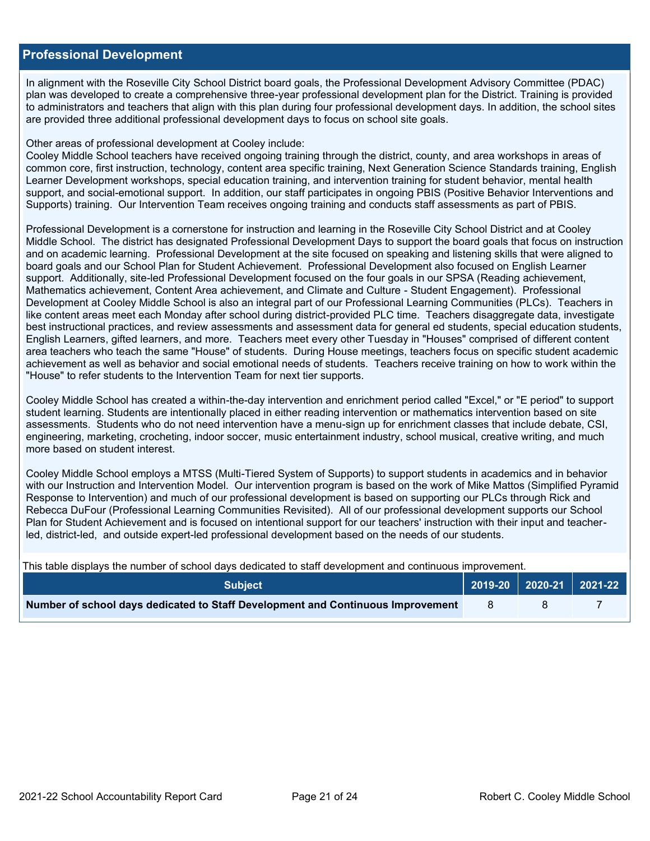### **Professional Development**

In alignment with the Roseville City School District board goals, the Professional Development Advisory Committee (PDAC) plan was developed to create a comprehensive three-year professional development plan for the District. Training is provided to administrators and teachers that align with this plan during four professional development days. In addition, the school sites are provided three additional professional development days to focus on school site goals.

### Other areas of professional development at Cooley include:

Cooley Middle School teachers have received ongoing training through the district, county, and area workshops in areas of common core, first instruction, technology, content area specific training, Next Generation Science Standards training, English Learner Development workshops, special education training, and intervention training for student behavior, mental health support, and social-emotional support. In addition, our staff participates in ongoing PBIS (Positive Behavior Interventions and Supports) training. Our Intervention Team receives ongoing training and conducts staff assessments as part of PBIS.

Professional Development is a cornerstone for instruction and learning in the Roseville City School District and at Cooley Middle School. The district has designated Professional Development Days to support the board goals that focus on instruction and on academic learning. Professional Development at the site focused on speaking and listening skills that were aligned to board goals and our School Plan for Student Achievement. Professional Development also focused on English Learner support. Additionally, site-led Professional Development focused on the four goals in our SPSA (Reading achievement, Mathematics achievement, Content Area achievement, and Climate and Culture - Student Engagement). Professional Development at Cooley Middle School is also an integral part of our Professional Learning Communities (PLCs). Teachers in like content areas meet each Monday after school during district-provided PLC time. Teachers disaggregate data, investigate best instructional practices, and review assessments and assessment data for general ed students, special education students, English Learners, gifted learners, and more. Teachers meet every other Tuesday in "Houses" comprised of different content area teachers who teach the same "House" of students. During House meetings, teachers focus on specific student academic achievement as well as behavior and social emotional needs of students. Teachers receive training on how to work within the "House" to refer students to the Intervention Team for next tier supports.

Cooley Middle School has created a within-the-day intervention and enrichment period called "Excel," or "E period" to support student learning. Students are intentionally placed in either reading intervention or mathematics intervention based on site assessments. Students who do not need intervention have a menu-sign up for enrichment classes that include debate, CSI, engineering, marketing, crocheting, indoor soccer, music entertainment industry, school musical, creative writing, and much more based on student interest.

Cooley Middle School employs a MTSS (Multi-Tiered System of Supports) to support students in academics and in behavior with our Instruction and Intervention Model. Our intervention program is based on the work of Mike Mattos (Simplified Pyramid Response to Intervention) and much of our professional development is based on supporting our PLCs through Rick and Rebecca DuFour (Professional Learning Communities Revisited). All of our professional development supports our School Plan for Student Achievement and is focused on intentional support for our teachers' instruction with their input and teacherled, district-led, and outside expert-led professional development based on the needs of our students.

This table displays the number of school days dedicated to staff development and continuous improvement.

| <b>Subject</b>                                                                  | 2019-20   2020-21   2021-22 |  |
|---------------------------------------------------------------------------------|-----------------------------|--|
| Number of school days dedicated to Staff Development and Continuous Improvement |                             |  |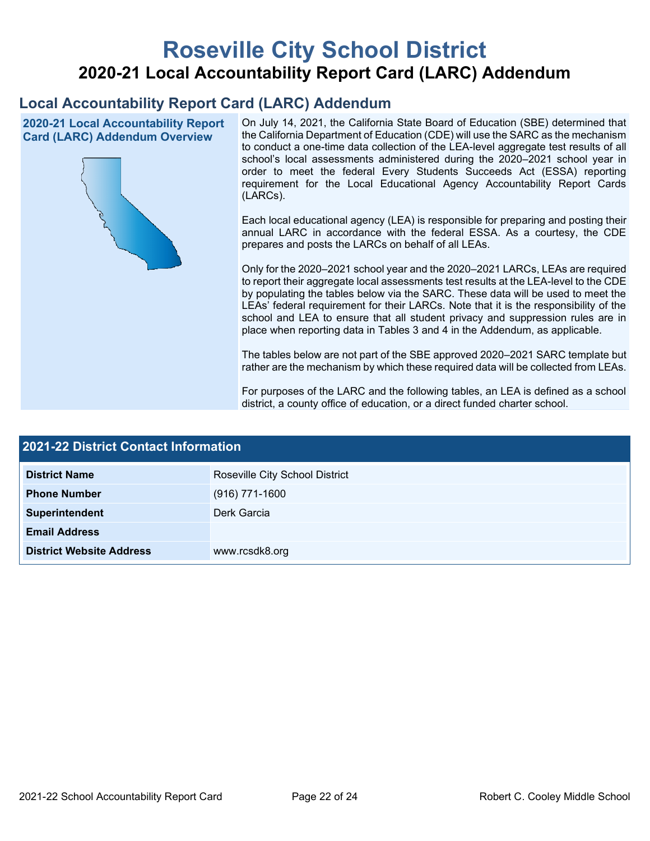# **Roseville City School District 2020-21 Local Accountability Report Card (LARC) Addendum**

# **Local Accountability Report Card (LARC) Addendum**

**2020-21 Local Accountability Report Card (LARC) Addendum Overview**



On July 14, 2021, the California State Board of Education (SBE) determined that the California Department of Education (CDE) will use the SARC as the mechanism to conduct a one-time data collection of the LEA-level aggregate test results of all school's local assessments administered during the 2020–2021 school year in order to meet the federal Every Students Succeeds Act (ESSA) reporting requirement for the Local Educational Agency Accountability Report Cards (LARCs).

Each local educational agency (LEA) is responsible for preparing and posting their annual LARC in accordance with the federal ESSA. As a courtesy, the CDE prepares and posts the LARCs on behalf of all LEAs.

Only for the 2020–2021 school year and the 2020–2021 LARCs, LEAs are required to report their aggregate local assessments test results at the LEA-level to the CDE by populating the tables below via the SARC. These data will be used to meet the LEAs' federal requirement for their LARCs. Note that it is the responsibility of the school and LEA to ensure that all student privacy and suppression rules are in place when reporting data in Tables 3 and 4 in the Addendum, as applicable.

The tables below are not part of the SBE approved 2020–2021 SARC template but rather are the mechanism by which these required data will be collected from LEAs.

For purposes of the LARC and the following tables, an LEA is defined as a school district, a county office of education, or a direct funded charter school.

| <b>2021-22 District Contact Information</b> |                                |  |  |
|---------------------------------------------|--------------------------------|--|--|
| <b>District Name</b>                        | Roseville City School District |  |  |
| <b>Phone Number</b>                         | $(916)$ 771-1600               |  |  |
| Superintendent                              | Derk Garcia                    |  |  |
| <b>Email Address</b>                        |                                |  |  |
| <b>District Website Address</b>             | www.rcsdk8.org                 |  |  |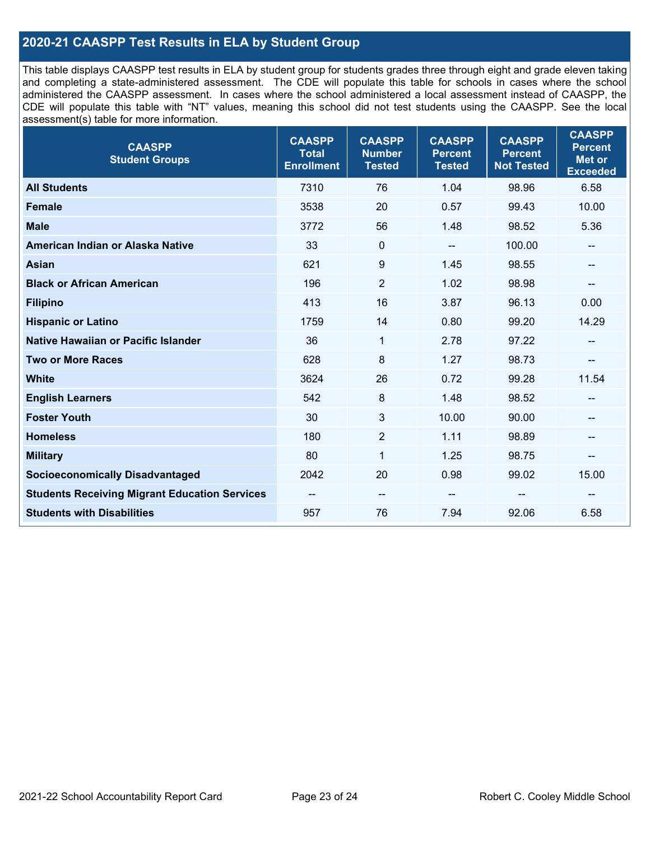### **2020-21 CAASPP Test Results in ELA by Student Group**

This table displays CAASPP test results in ELA by student group for students grades three through eight and grade eleven taking and completing a state-administered assessment. The CDE will populate this table for schools in cases where the school administered the CAASPP assessment. In cases where the school administered a local assessment instead of CAASPP, the CDE will populate this table with "NT" values, meaning this school did not test students using the CAASPP. See the local assessment(s) table for more information.

| <b>CAASPP</b><br><b>Student Groups</b>               | <b>CAASPP</b><br><b>Total</b><br><b>Enrollment</b> | <b>CAASPP</b><br><b>Number</b><br><b>Tested</b> | <b>CAASPP</b><br><b>Percent</b><br><b>Tested</b> | <b>CAASPP</b><br><b>Percent</b><br><b>Not Tested</b> | <b>CAASPP</b><br><b>Percent</b><br>Met or<br><b>Exceeded</b> |
|------------------------------------------------------|----------------------------------------------------|-------------------------------------------------|--------------------------------------------------|------------------------------------------------------|--------------------------------------------------------------|
| <b>All Students</b>                                  | 7310                                               | 76                                              | 1.04                                             | 98.96                                                | 6.58                                                         |
| <b>Female</b>                                        | 3538                                               | 20                                              | 0.57                                             | 99.43                                                | 10.00                                                        |
| <b>Male</b>                                          | 3772                                               | 56                                              | 1.48                                             | 98.52                                                | 5.36                                                         |
| American Indian or Alaska Native                     | 33                                                 | $\pmb{0}$                                       | --                                               | 100.00                                               | --                                                           |
| <b>Asian</b>                                         | 621                                                | 9                                               | 1.45                                             | 98.55                                                | --                                                           |
| <b>Black or African American</b>                     | 196                                                | $\overline{2}$                                  | 1.02                                             | 98.98                                                | --                                                           |
| <b>Filipino</b>                                      | 413                                                | 16                                              | 3.87                                             | 96.13                                                | 0.00                                                         |
| <b>Hispanic or Latino</b>                            | 1759                                               | 14                                              | 0.80                                             | 99.20                                                | 14.29                                                        |
| Native Hawaiian or Pacific Islander                  | 36                                                 | $\mathbf{1}$                                    | 2.78                                             | 97.22                                                | --                                                           |
| <b>Two or More Races</b>                             | 628                                                | 8                                               | 1.27                                             | 98.73                                                | --                                                           |
| <b>White</b>                                         | 3624                                               | 26                                              | 0.72                                             | 99.28                                                | 11.54                                                        |
| <b>English Learners</b>                              | 542                                                | 8                                               | 1.48                                             | 98.52                                                |                                                              |
| <b>Foster Youth</b>                                  | 30                                                 | 3                                               | 10.00                                            | 90.00                                                | --                                                           |
| <b>Homeless</b>                                      | 180                                                | $\overline{2}$                                  | 1.11                                             | 98.89                                                | --                                                           |
| <b>Military</b>                                      | 80                                                 | 1                                               | 1.25                                             | 98.75                                                | --                                                           |
| <b>Socioeconomically Disadvantaged</b>               | 2042                                               | 20                                              | 0.98                                             | 99.02                                                | 15.00                                                        |
| <b>Students Receiving Migrant Education Services</b> |                                                    | $\overline{\phantom{m}}$                        |                                                  |                                                      |                                                              |
| <b>Students with Disabilities</b>                    | 957                                                | 76                                              | 7.94                                             | 92.06                                                | 6.58                                                         |